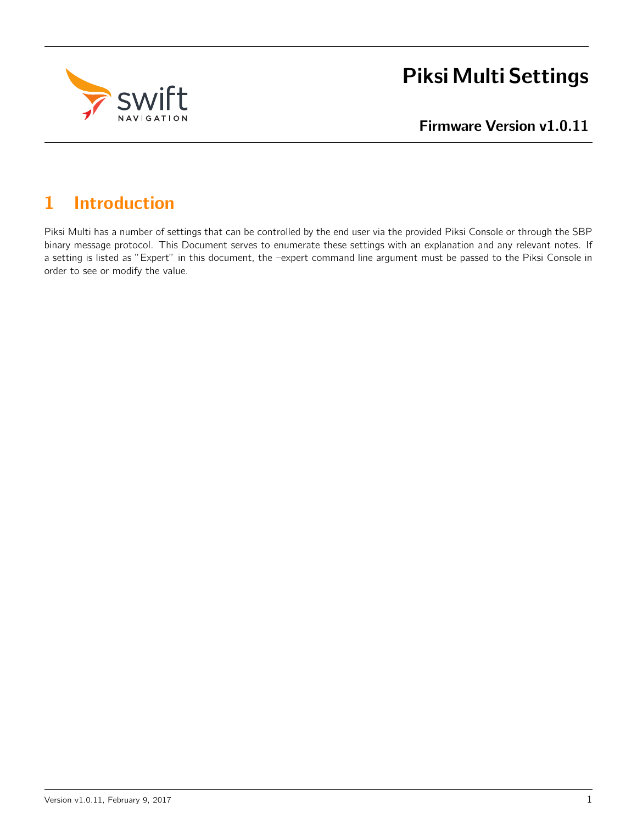

# Piksi Multi Settings

Firmware Version v1.0.11

# 1 Introduction

Piksi Multi has a number of settings that can be controlled by the end user via the provided Piksi Console or through the SBP binary message protocol. This Document serves to enumerate these settings with an explanation and any relevant notes. If a setting is listed as "Expert" in this document, the –expert command line argument must be passed to the Piksi Console in order to see or modify the value.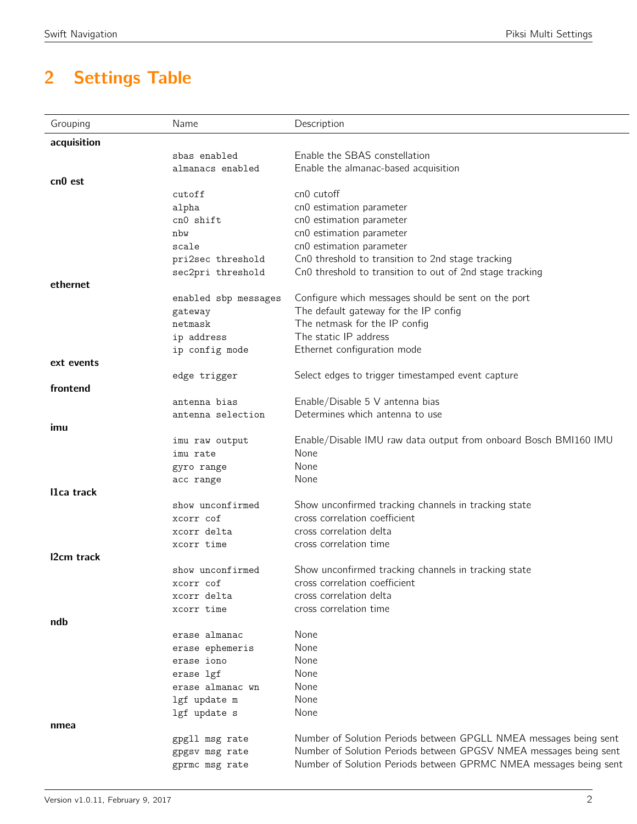# 2 Settings Table

| Grouping            | Name                 | Description                                                       |
|---------------------|----------------------|-------------------------------------------------------------------|
| acquisition         |                      |                                                                   |
|                     | sbas enabled         | Enable the SBAS constellation                                     |
|                     | almanacs enabled     | Enable the almanac-based acquisition                              |
| cn <sub>0</sub> est |                      |                                                                   |
|                     | cutoff               | cn0 cutoff                                                        |
|                     | alpha                | cn0 estimation parameter                                          |
|                     | cn0 shift            | cn0 estimation parameter                                          |
|                     | nbw                  | cn0 estimation parameter                                          |
|                     | scale                | cn0 estimation parameter                                          |
|                     | pri2sec threshold    | Cn0 threshold to transition to 2nd stage tracking                 |
|                     | sec2pri threshold    | Cn0 threshold to transition to out of 2nd stage tracking          |
| ethernet            |                      |                                                                   |
|                     | enabled sbp messages | Configure which messages should be sent on the port               |
|                     | gateway              | The default gateway for the IP config                             |
|                     | netmask              | The netmask for the IP config                                     |
|                     | ip address           | The static IP address                                             |
|                     | ip config mode       | Ethernet configuration mode                                       |
| ext events          |                      |                                                                   |
|                     | edge trigger         | Select edges to trigger timestamped event capture                 |
| frontend            |                      |                                                                   |
|                     | antenna bias         | Enable/Disable 5 V antenna bias                                   |
|                     | antenna selection    | Determines which antenna to use                                   |
| imu                 |                      |                                                                   |
|                     | imu raw output       | Enable/Disable IMU raw data output from onboard Bosch BMI160 IMU  |
|                     | imu rate             | None                                                              |
|                     | gyro range           | None                                                              |
|                     | acc range            | None                                                              |
| I1ca track          |                      |                                                                   |
|                     | show unconfirmed     | Show unconfirmed tracking channels in tracking state              |
|                     | xcorr cof            | cross correlation coefficient                                     |
|                     | xcorr delta          | cross correlation delta                                           |
|                     | xcorr time           | cross correlation time                                            |
| I2cm track          |                      |                                                                   |
|                     | show unconfirmed     | Show unconfirmed tracking channels in tracking state              |
|                     | xcorr cof            | cross correlation coefficient                                     |
|                     | xcorr delta          | cross correlation delta                                           |
|                     | xcorr time           | cross correlation time                                            |
| ndb                 |                      |                                                                   |
|                     | erase almanac        | None                                                              |
|                     | erase ephemeris      | None                                                              |
|                     | erase iono           | None                                                              |
|                     | erase lgf            | None                                                              |
|                     | erase almanac wn     | None                                                              |
|                     | lgf update m         | None                                                              |
|                     | lgf update s         | None                                                              |
| nmea                |                      |                                                                   |
|                     | gpgll msg rate       | Number of Solution Periods between GPGLL NMEA messages being sent |
|                     | gpgsv msg rate       | Number of Solution Periods between GPGSV NMEA messages being sent |
|                     | gprmc msg rate       | Number of Solution Periods between GPRMC NMEA messages being sent |
|                     |                      |                                                                   |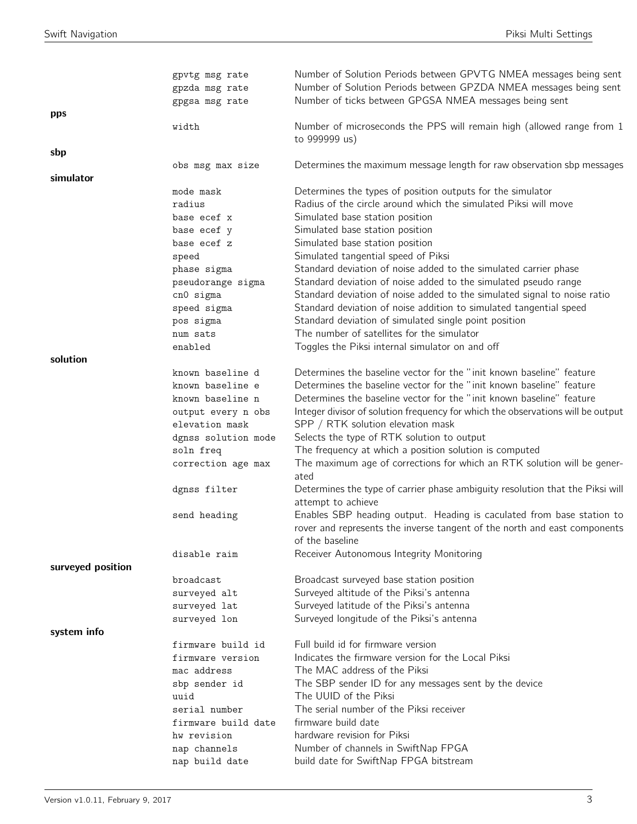|                   | gpvtg msg rate<br>gpzda msg rate | Number of Solution Periods between GPVTG NMEA messages being sent<br>Number of Solution Periods between GPZDA NMEA messages being sent                                |
|-------------------|----------------------------------|-----------------------------------------------------------------------------------------------------------------------------------------------------------------------|
|                   | gpgsa msg rate                   | Number of ticks between GPGSA NMEA messages being sent                                                                                                                |
| pps               | width                            | Number of microseconds the PPS will remain high (allowed range from 1<br>to 999999 us)                                                                                |
| sbp               |                                  |                                                                                                                                                                       |
| simulator         | obs msg max size                 | Determines the maximum message length for raw observation sbp messages                                                                                                |
|                   | mode mask                        | Determines the types of position outputs for the simulator                                                                                                            |
|                   | radius                           | Radius of the circle around which the simulated Piksi will move                                                                                                       |
|                   | base ecef x                      | Simulated base station position                                                                                                                                       |
|                   | base ecef y                      | Simulated base station position                                                                                                                                       |
|                   | base ecef z                      | Simulated base station position                                                                                                                                       |
|                   | speed                            | Simulated tangential speed of Piksi                                                                                                                                   |
|                   | phase sigma                      | Standard deviation of noise added to the simulated carrier phase                                                                                                      |
|                   | pseudorange sigma                | Standard deviation of noise added to the simulated pseudo range                                                                                                       |
|                   | cn0 sigma                        | Standard deviation of noise added to the simulated signal to noise ratio                                                                                              |
|                   | speed sigma                      | Standard deviation of noise addition to simulated tangential speed                                                                                                    |
|                   | pos sigma                        | Standard deviation of simulated single point position                                                                                                                 |
|                   | num sats                         | The number of satellites for the simulator                                                                                                                            |
|                   | enabled                          | Toggles the Piksi internal simulator on and off                                                                                                                       |
| solution          |                                  |                                                                                                                                                                       |
|                   | known baseline d                 | Determines the baseline vector for the "init known baseline" feature                                                                                                  |
|                   | known baseline e                 | Determines the baseline vector for the "init known baseline" feature                                                                                                  |
|                   | known baseline n                 | Determines the baseline vector for the "init known baseline" feature                                                                                                  |
|                   | output every n obs               | Integer divisor of solution frequency for which the observations will be output                                                                                       |
|                   | elevation mask                   | SPP / RTK solution elevation mask                                                                                                                                     |
|                   | dgnss solution mode              | Selects the type of RTK solution to output                                                                                                                            |
|                   | soln freq                        | The frequency at which a position solution is computed                                                                                                                |
|                   | correction age max               | The maximum age of corrections for which an RTK solution will be gener-<br>ated                                                                                       |
|                   | dgnss filter                     | Determines the type of carrier phase ambiguity resolution that the Piksi will<br>attempt to achieve                                                                   |
|                   | send heading                     | Enables SBP heading output. Heading is caculated from base station to<br>rover and represents the inverse tangent of the north and east components<br>of the baseline |
|                   | disable raim                     | Receiver Autonomous Integrity Monitoring                                                                                                                              |
| surveyed position |                                  |                                                                                                                                                                       |
|                   | broadcast                        | Broadcast surveyed base station position                                                                                                                              |
|                   | surveyed alt                     | Surveyed altitude of the Piksi's antenna                                                                                                                              |
|                   | surveyed lat                     | Surveyed latitude of the Piksi's antenna                                                                                                                              |
|                   | surveyed lon                     | Surveyed longitude of the Piksi's antenna                                                                                                                             |
| system info       |                                  |                                                                                                                                                                       |
|                   | firmware build id                | Full build id for firmware version                                                                                                                                    |
|                   | firmware version                 | Indicates the firmware version for the Local Piksi                                                                                                                    |
|                   | mac address                      | The MAC address of the Piksi                                                                                                                                          |
|                   | sbp sender id                    | The SBP sender ID for any messages sent by the device                                                                                                                 |
|                   | uuid<br>serial number            | The UUID of the Piksi<br>The serial number of the Piksi receiver                                                                                                      |
|                   | firmware build date              | firmware build date                                                                                                                                                   |
|                   | hw revision                      | hardware revision for Piksi                                                                                                                                           |
|                   | nap channels                     | Number of channels in SwiftNap FPGA                                                                                                                                   |
|                   | nap build date                   | build date for SwiftNap FPGA bitstream                                                                                                                                |
|                   |                                  |                                                                                                                                                                       |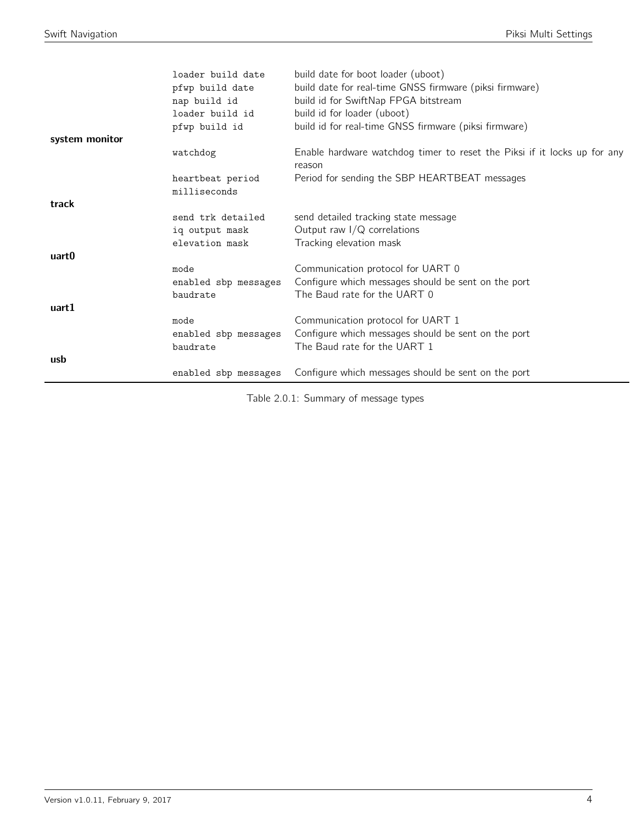|                | loader build date<br>pfwp build date<br>nap build id<br>loader build id<br>pfwp build id | build date for boot loader (uboot)<br>build date for real-time GNSS firmware (piksi firmware)<br>build id for SwiftNap FPGA bitstream<br>build id for loader (uboot)<br>build id for real-time GNSS firmware (piksi firmware) |
|----------------|------------------------------------------------------------------------------------------|-------------------------------------------------------------------------------------------------------------------------------------------------------------------------------------------------------------------------------|
| system monitor | watchdog                                                                                 | Enable hardware watchdog timer to reset the Piksi if it locks up for any                                                                                                                                                      |
|                |                                                                                          | reason                                                                                                                                                                                                                        |
|                | heartbeat period                                                                         | Period for sending the SBP HEARTBEAT messages                                                                                                                                                                                 |
| track          | milliseconds                                                                             |                                                                                                                                                                                                                               |
|                | send trk detailed                                                                        | send detailed tracking state message                                                                                                                                                                                          |
|                | iq output mask                                                                           | Output raw $I/Q$ correlations                                                                                                                                                                                                 |
|                | elevation mask                                                                           | Tracking elevation mask                                                                                                                                                                                                       |
| uart0          |                                                                                          |                                                                                                                                                                                                                               |
|                | mode                                                                                     | Communication protocol for UART 0                                                                                                                                                                                             |
|                | enabled sbp messages                                                                     | Configure which messages should be sent on the port                                                                                                                                                                           |
|                | baudrate                                                                                 | The Baud rate for the UART 0                                                                                                                                                                                                  |
| uart1          |                                                                                          |                                                                                                                                                                                                                               |
|                | mode<br>enabled sbp messages                                                             | Communication protocol for UART 1<br>Configure which messages should be sent on the port                                                                                                                                      |
|                | baudrate                                                                                 | The Baud rate for the UART 1                                                                                                                                                                                                  |
| usb            |                                                                                          |                                                                                                                                                                                                                               |
|                | enabled sbp messages                                                                     | Configure which messages should be sent on the port                                                                                                                                                                           |

Table 2.0.1: Summary of message types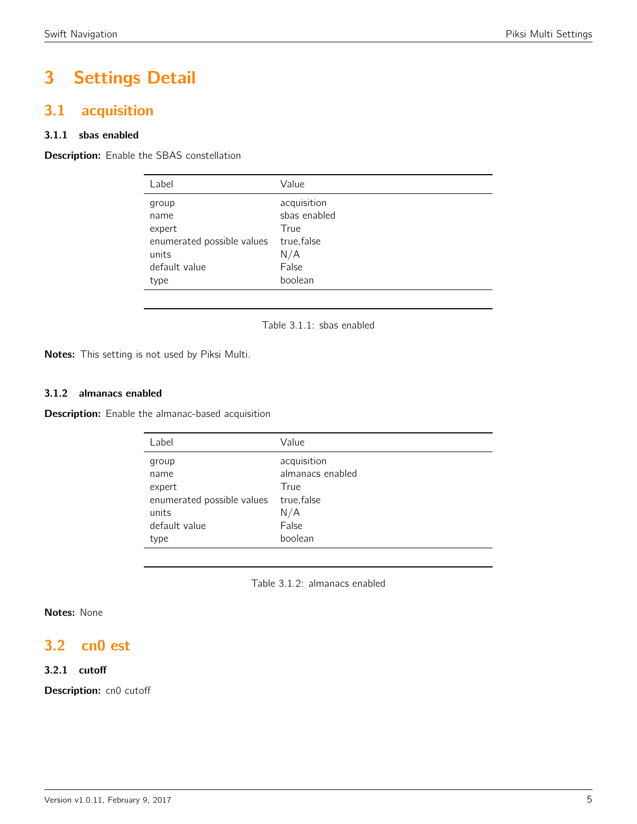# 3 Settings Detail

# <span id="page-4-0"></span>3.1 acquisition

#### 3.1.1 sbas enabled

<span id="page-4-1"></span>**Description:** Enable the SBAS constellation

| Label                      | Value        |
|----------------------------|--------------|
| group                      | acquisition  |
| name                       | sbas enabled |
| expert                     | True         |
| enumerated possible values | true, false  |
| units                      | N/A          |
| default value              | False        |
| type                       | boolean      |
|                            |              |

Table 3.1.1: sbas enabled

Notes: This setting is not used by Piksi Multi.

#### 3.1.2 almanacs enabled

**Description:** Enable the almanac-based acquisition

| Label                      | Value            |
|----------------------------|------------------|
| group                      | acquisition      |
| name                       | almanacs enabled |
| expert                     | True             |
| enumerated possible values | true, false      |
| units                      | N/A              |
| default value              | False            |
| type                       | boolean          |
|                            |                  |

Table 3.1.2: almanacs enabled

#### Notes: None

# <span id="page-4-2"></span>3.2 cn0 est

#### 3.2.1 cutoff

Description: cn0 cutoff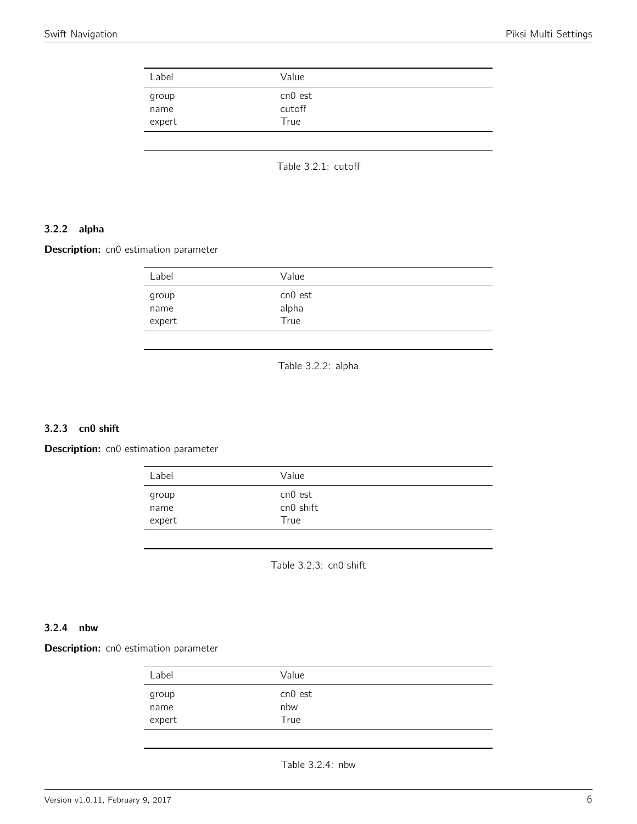<span id="page-5-0"></span>

|                         | Value                     |  |
|-------------------------|---------------------------|--|
| group<br>name<br>expert | cn0 est<br>cutoff<br>True |  |

Table 3.2.1: cutoff

#### 3.2.2 alpha

<span id="page-5-1"></span>Description: cn0 estimation parameter

| cn0 est<br>group<br>alpha<br>name<br>True<br>expert | Label | Value |  |
|-----------------------------------------------------|-------|-------|--|
|                                                     |       |       |  |

Table 3.2.2: alpha

#### 3.2.3 cn0 shift

<span id="page-5-2"></span>Description: cn0 estimation parameter

| Label  | Value     |
|--------|-----------|
| group  | cn0 est   |
| name   | cn0 shift |
| expert | True      |

Table 3.2.3: cn0 shift

#### 3.2.4 nbw

<span id="page-5-3"></span>**Description:** cn0 estimation parameter

| Label                   | Value                  |  |
|-------------------------|------------------------|--|
| group<br>name<br>expert | cn0 est<br>nbw<br>True |  |
|                         |                        |  |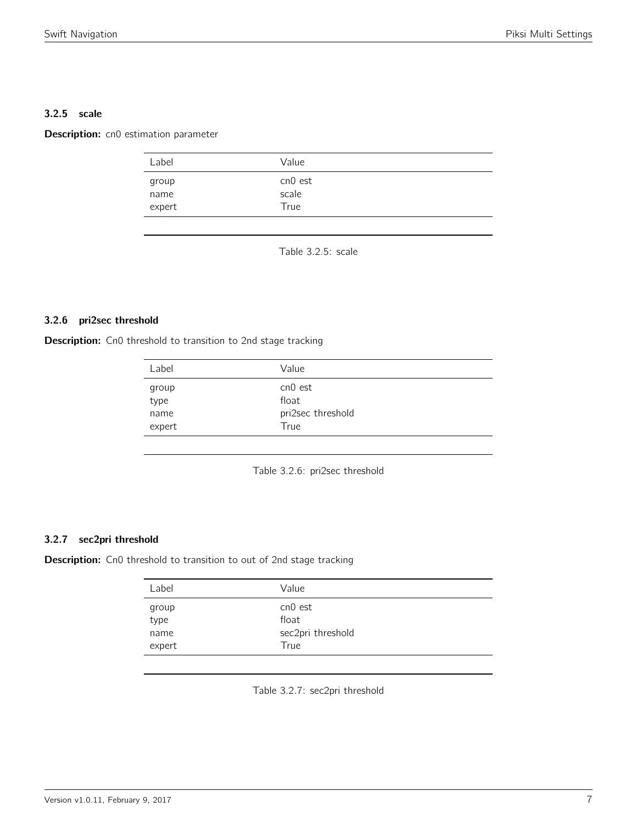#### 3.2.5 scale

<span id="page-6-0"></span>Description: cn0 estimation parameter

| Label                   | Value                    |  |
|-------------------------|--------------------------|--|
| group<br>name<br>expert | cn0 est<br>scale<br>True |  |
|                         |                          |  |

Table 3.2.5: scale

#### 3.2.6 pri2sec threshold

<span id="page-6-1"></span>Description: Cn0 threshold to transition to 2nd stage tracking

| Label                           | Value                                         |  |
|---------------------------------|-----------------------------------------------|--|
| group<br>type<br>name<br>expert | cn0 est<br>float<br>pri2sec threshold<br>True |  |

Table 3.2.6: pri2sec threshold

#### 3.2.7 sec2pri threshold

Description: Cn0 threshold to transition to out of 2nd stage tracking

| cn0 est<br>group<br>type<br>float<br>sec2pri threshold<br>name<br>True | Label  | Value |
|------------------------------------------------------------------------|--------|-------|
|                                                                        | expert |       |

Table 3.2.7: sec2pri threshold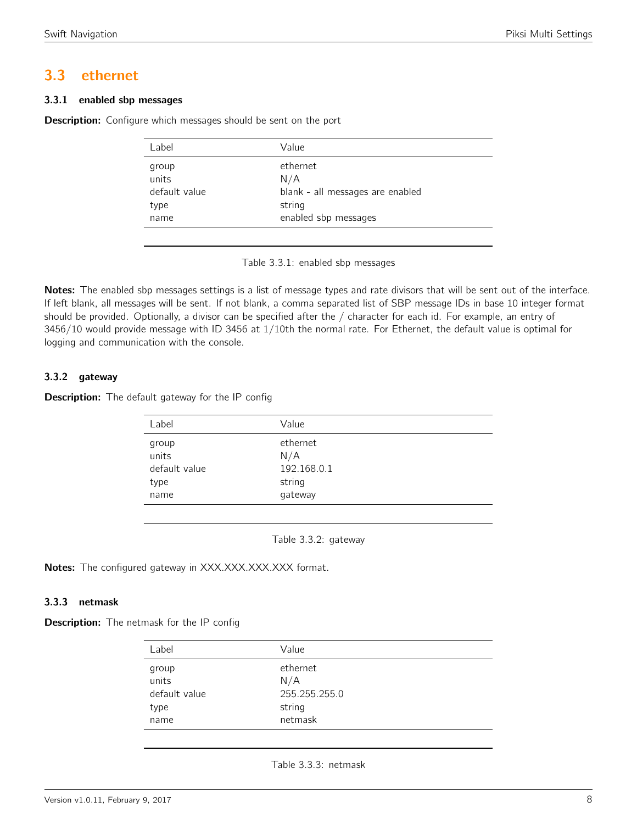# <span id="page-7-0"></span>3.3 ethernet

#### 3.3.1 enabled sbp messages

<span id="page-7-1"></span>**Description:** Configure which messages should be sent on the port

| Label          | Value                            |
|----------------|----------------------------------|
| group<br>units | ethernet<br>N/A                  |
| default value  | blank - all messages are enabled |
| type           | string                           |
| name           | enabled sbp messages             |

Table 3.3.1: enabled sbp messages

Notes: The enabled sbp messages settings is a list of message types and rate divisors that will be sent out of the interface. If left blank, all messages will be sent. If not blank, a comma separated list of SBP message IDs in base 10 integer format should be provided. Optionally, a divisor can be specified after the / character for each id. For example, an entry of 3456/10 would provide message with ID 3456 at 1/10th the normal rate. For Ethernet, the default value is optimal for logging and communication with the console.

#### 3.3.2 gateway

<span id="page-7-2"></span>**Description:** The default gateway for the IP config

| Label                                           | Value                                               |  |
|-------------------------------------------------|-----------------------------------------------------|--|
| group<br>units<br>default value<br>type<br>name | ethernet<br>N/A<br>192.168.0.1<br>string<br>gateway |  |
|                                                 |                                                     |  |

Table 3.3.2: gateway

Notes: The configured gateway in XXX.XXX.XXX.XXX format.

#### 3.3.3 netmask

<span id="page-7-3"></span>**Description:** The netmask for the IP config

| Label         | Value         |
|---------------|---------------|
| group         | ethernet      |
| units         | N/A           |
| default value | 255.255.255.0 |
| type          | string        |
| name          | netmask       |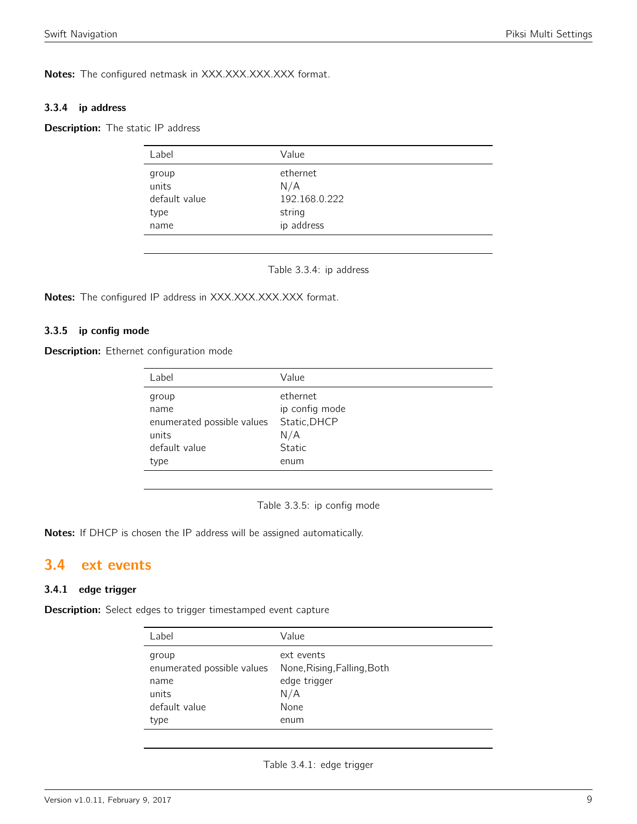Notes: The configured netmask in XXX.XXX.XXX.XXX format.

#### 3.3.4 ip address

<span id="page-8-0"></span>Description: The static IP address

|                | Value           |
|----------------|-----------------|
| group<br>units | ethernet<br>N/A |
| default value  | 192.168.0.222   |
| type           | string          |
| name           | ip address      |

Table 3.3.4: ip address

Notes: The configured IP address in XXX.XXX.XXX.XXX format.

#### 3.3.5 ip config mode

**Description:** Ethernet configuration mode

| Label                                                                         | Value                                                               |
|-------------------------------------------------------------------------------|---------------------------------------------------------------------|
| group<br>name<br>enumerated possible values<br>units<br>default value<br>type | ethernet<br>ip config mode<br>Static, DHCP<br>N/A<br>Static<br>enum |
|                                                                               |                                                                     |

Table 3.3.5: ip config mode

Notes: If DHCP is chosen the IP address will be assigned automatically.

## <span id="page-8-1"></span>3.4 ext events

#### 3.4.1 edge trigger

Description: Select edges to trigger timestamped event capture

| Label                      | Value                       |
|----------------------------|-----------------------------|
| group                      | ext events                  |
| enumerated possible values | None, Rising, Falling, Both |
| name                       | edge trigger                |
| units                      | N/A                         |
| default value              | None                        |
| type                       | enum                        |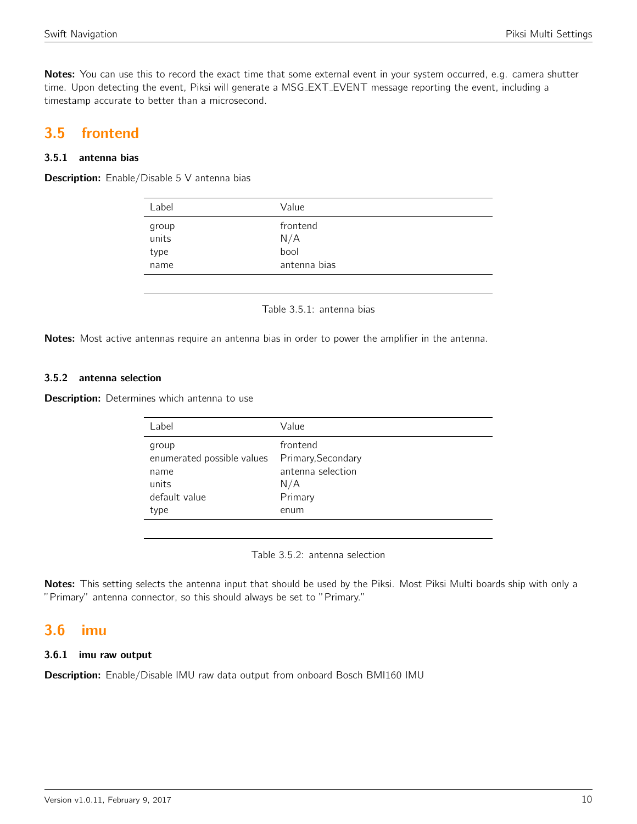Notes: You can use this to record the exact time that some external event in your system occurred, e.g. camera shutter time. Upon detecting the event, Piksi will generate a MSG EXT EVENT message reporting the event, including a timestamp accurate to better than a microsecond.

# <span id="page-9-0"></span>3.5 frontend

#### 3.5.1 antenna bias

<span id="page-9-1"></span>**Description:** Enable/Disable 5 V antenna bias

| Label          | Value           |  |
|----------------|-----------------|--|
| group<br>units | frontend<br>N/A |  |
| type           | bool            |  |
| name           | antenna bias    |  |

Table 3.5.1: antenna bias

Notes: Most active antennas require an antenna bias in order to power the amplifier in the antenna.

#### 3.5.2 antenna selection

**Description:** Determines which antenna to use

| Label                                                                         | Value                                                                         |
|-------------------------------------------------------------------------------|-------------------------------------------------------------------------------|
| group<br>enumerated possible values<br>name<br>units<br>default value<br>type | frontend<br>Primary, Secondary<br>antenna selection<br>N/A<br>Primary<br>enum |
|                                                                               |                                                                               |

Table 3.5.2: antenna selection

Notes: This setting selects the antenna input that should be used by the Piksi. Most Piksi Multi boards ship with only a "Primary" antenna connector, so this should always be set to "Primary."

## <span id="page-9-2"></span>3.6 imu

#### 3.6.1 imu raw output

Description: Enable/Disable IMU raw data output from onboard Bosch BMI160 IMU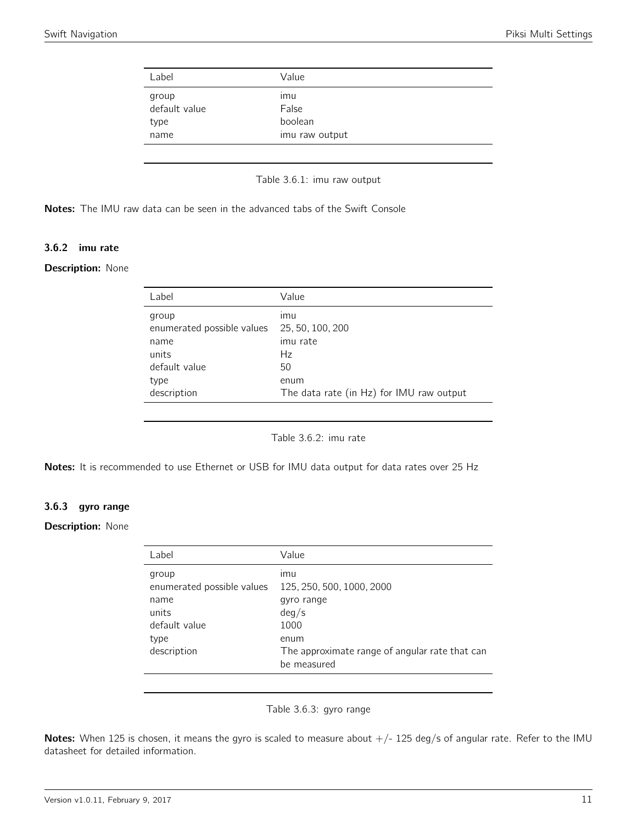<span id="page-10-0"></span>

| Label                  | Value          |  |
|------------------------|----------------|--|
| group<br>default value | ımu<br>False   |  |
| type                   | boolean        |  |
| name                   | imu raw output |  |

Table 3.6.1: imu raw output

Notes: The IMU raw data can be seen in the advanced tabs of the Swift Console

#### 3.6.2 imu rate

#### <span id="page-10-1"></span>**Description: None**

| Label                                                                                        | Value                                                                                               |
|----------------------------------------------------------------------------------------------|-----------------------------------------------------------------------------------------------------|
| group<br>enumerated possible values<br>name<br>units<br>default value<br>type<br>description | ımu<br>25, 50, 100, 200<br>imu rate<br>Hz<br>50<br>enum<br>The data rate (in Hz) for IMU raw output |
|                                                                                              |                                                                                                     |

Table 3.6.2: imu rate

Notes: It is recommended to use Ethernet or USB for IMU data output for data rates over 25 Hz

#### 3.6.3 gyro range

#### <span id="page-10-2"></span>**Description: None**

| Label                                                                                        | Value                                                                                                                                    |
|----------------------------------------------------------------------------------------------|------------------------------------------------------------------------------------------------------------------------------------------|
| group<br>enumerated possible values<br>name<br>units<br>default value<br>type<br>description | imu<br>125, 250, 500, 1000, 2000<br>gyro range<br>deg/s<br>1000<br>enum<br>The approximate range of angular rate that can<br>be measured |

#### Table 3.6.3: gyro range

Notes: When 125 is chosen, it means the gyro is scaled to measure about  $+/-$  125 deg/s of angular rate. Refer to the IMU datasheet for detailed information.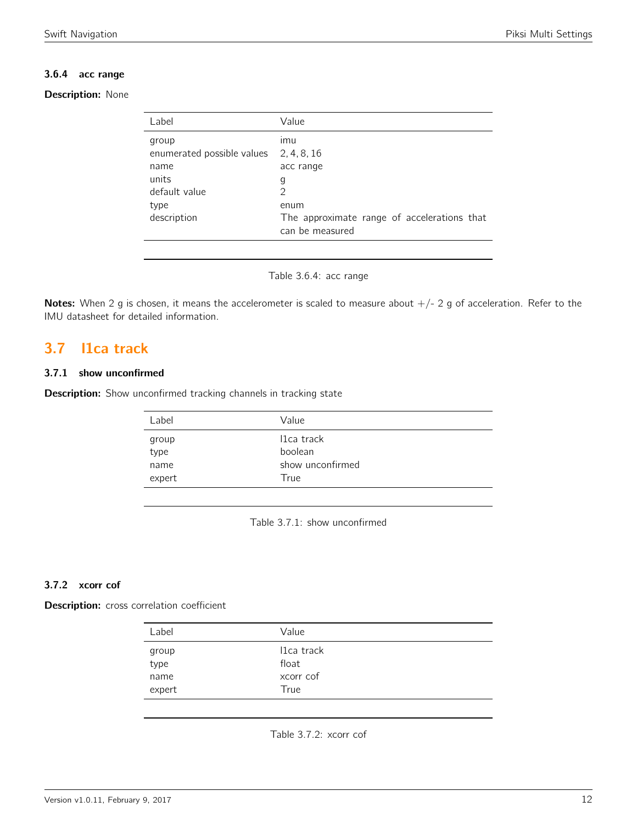#### 3.6.4 acc range

#### Description: None

| Label                                                                 | Value                                                                  |
|-----------------------------------------------------------------------|------------------------------------------------------------------------|
| group<br>enumerated possible values<br>name<br>units<br>default value | ımu<br>2, 4, 8, 16<br>acc range<br>g<br>2                              |
| type<br>description                                                   | enum<br>The approximate range of accelerations that<br>can be measured |

Table 3.6.4: acc range

Notes: When 2 g is chosen, it means the accelerometer is scaled to measure about  $+/- 2$  g of acceleration. Refer to the IMU datasheet for detailed information.

# <span id="page-11-0"></span>3.7 l1ca track

#### 3.7.1 show unconfirmed

<span id="page-11-1"></span>Description: Show unconfirmed tracking channels in tracking state

| Label         | Value                 |
|---------------|-----------------------|
| group<br>type | 11ca track<br>boolean |
| name          | show unconfirmed      |
| expert        | True                  |

Table 3.7.1: show unconfirmed

#### 3.7.2 xcorr cof

<span id="page-11-2"></span>Description: cross correlation coefficient

| Label         | Value                            |  |
|---------------|----------------------------------|--|
| group<br>type | I <sub>1</sub> ca track<br>float |  |
| name          | xcorr cof                        |  |
| expert        | True                             |  |

Table 3.7.2: xcorr cof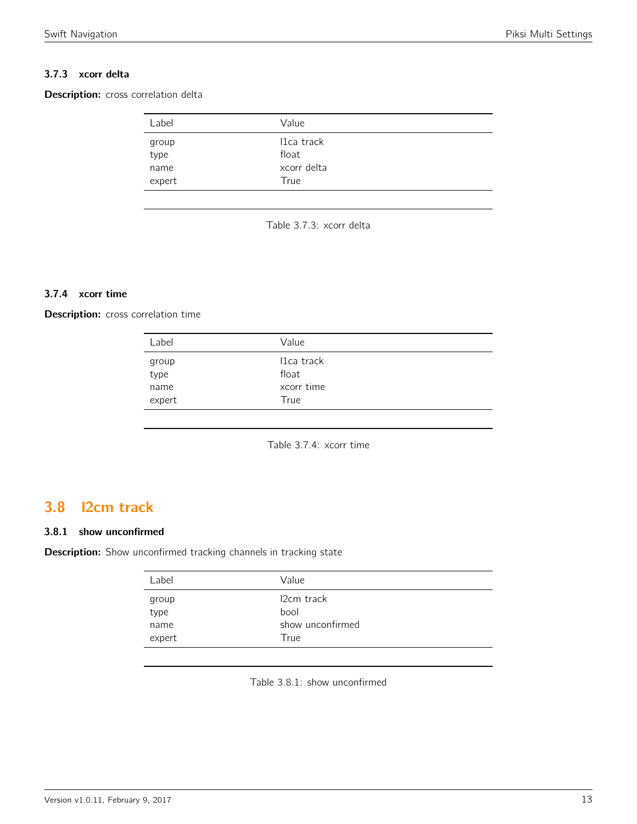#### 3.7.3 xcorr delta

<span id="page-12-0"></span>Description: cross correlation delta

| Label          | Value               |  |
|----------------|---------------------|--|
| group<br>type  | I1ca track<br>float |  |
| name<br>expert | xcorr delta<br>True |  |

Table 3.7.3: xcorr delta

#### 3.7.4 xcorr time

Description: cross correlation time

| Label         | Value                            |  |
|---------------|----------------------------------|--|
| group<br>type | I <sub>1</sub> ca track<br>float |  |
| name          | xcorr time                       |  |
| expert        | True                             |  |

Table 3.7.4: xcorr time

# <span id="page-12-1"></span>3.8 l2cm track

#### 3.8.1 show unconfirmed

<span id="page-12-2"></span>Description: Show unconfirmed tracking channels in tracking state

| Label  | Value                   |  |
|--------|-------------------------|--|
| group  | I <sub>2</sub> cm track |  |
| type   | bool                    |  |
| name   | show unconfirmed        |  |
| expert | True                    |  |

Table 3.8.1: show unconfirmed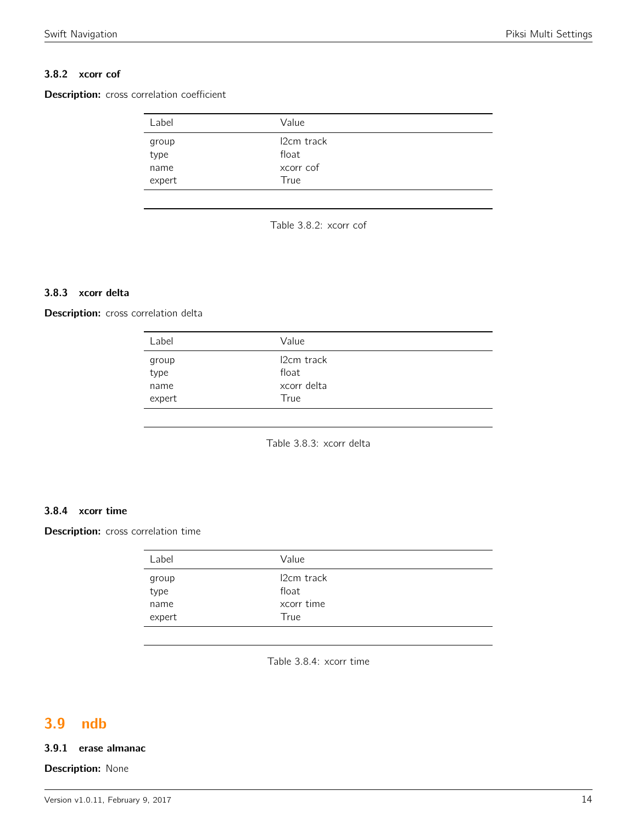#### 3.8.2 xcorr cof

<span id="page-13-0"></span>Description: cross correlation coefficient

| Label          | Value               |  |
|----------------|---------------------|--|
| group<br>type  | 12cm track<br>float |  |
| name<br>expert | xcorr cof<br>True   |  |

Table 3.8.2: xcorr cof

#### 3.8.3 xcorr delta

<span id="page-13-1"></span>Description: cross correlation delta

| Label         | Value                            |  |
|---------------|----------------------------------|--|
| group<br>type | I <sub>2</sub> cm track<br>float |  |
| name          | xcorr delta                      |  |
| expert        | True                             |  |

Table 3.8.3: xcorr delta

#### 3.8.4 xcorr time

Description: cross correlation time

| group<br>type  | I <sub>2</sub> cm track<br>float |
|----------------|----------------------------------|
| name<br>expert | xcorr time<br>True               |

Table 3.8.4: xcorr time

# <span id="page-13-2"></span>3.9 ndb

#### 3.9.1 erase almanac

#### **Description: None**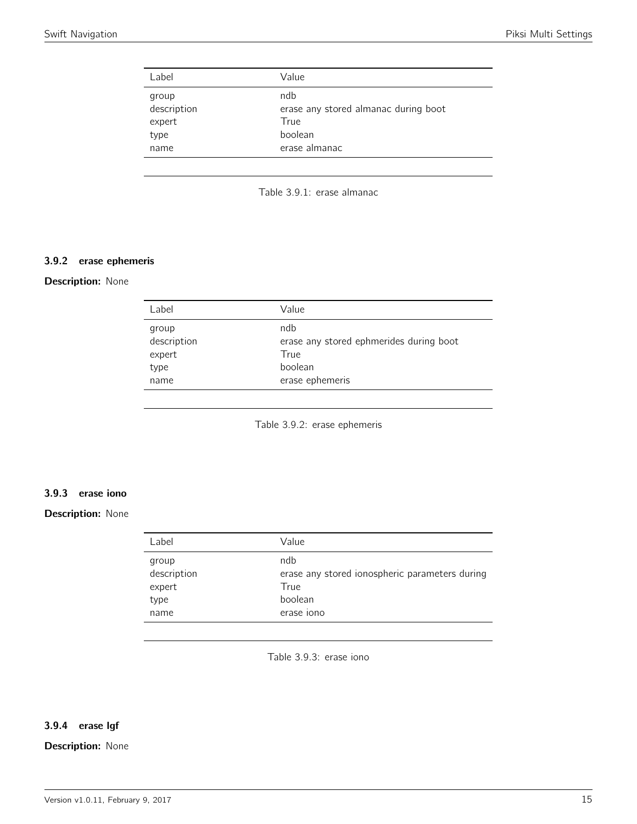<span id="page-14-0"></span>

| Label                                          | Value                                                                           |
|------------------------------------------------|---------------------------------------------------------------------------------|
| group<br>description<br>expert<br>type<br>name | ndb<br>erase any stored almanac during boot<br>True<br>boolean<br>erase almanac |
|                                                |                                                                                 |



#### 3.9.2 erase ephemeris

#### <span id="page-14-1"></span>Description: None

| Label                | Value                                          |
|----------------------|------------------------------------------------|
| group<br>description | ndb<br>erase any stored ephmerides during boot |
| expert               | True                                           |
| type                 | boolean                                        |
| name                 | erase ephemeris                                |
|                      |                                                |

Table 3.9.2: erase ephemeris

#### 3.9.3 erase iono

#### <span id="page-14-2"></span>Description: None

| Label                                          | Value                                                                                  |
|------------------------------------------------|----------------------------------------------------------------------------------------|
| group<br>description<br>expert<br>type<br>name | ndb<br>erase any stored ionospheric parameters during<br>True<br>boolean<br>erase iono |
|                                                |                                                                                        |

Table 3.9.3: erase iono

### 3.9.4 erase lgf

#### Description: None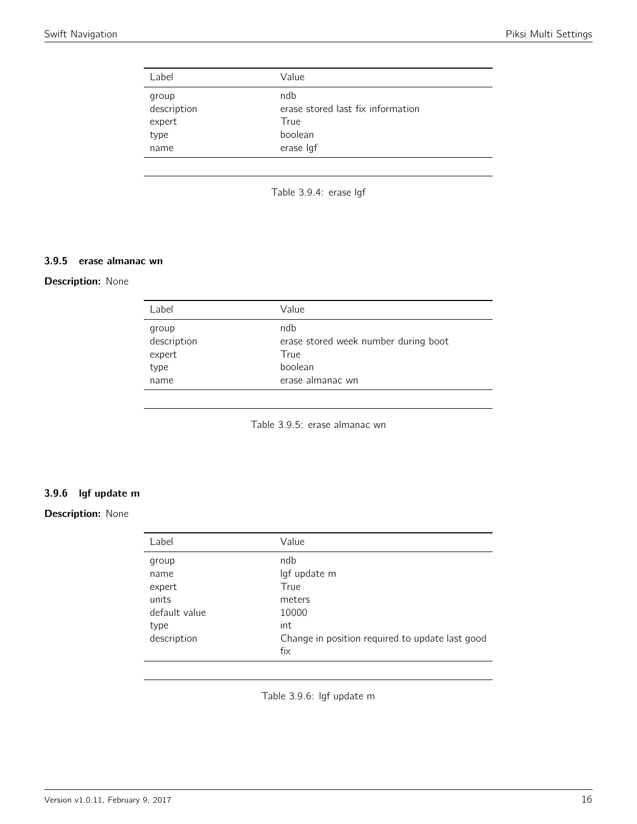<span id="page-15-0"></span>

| Label                                          | Value                                                                    |
|------------------------------------------------|--------------------------------------------------------------------------|
| group<br>description<br>expert<br>type<br>name | ndb<br>erase stored last fix information<br>True<br>boolean<br>erase Igf |
|                                                |                                                                          |

Table 3.9.4: erase lgf

#### 3.9.5 erase almanac wn

#### <span id="page-15-1"></span>**Description: None**

| Label                | Value                                       |
|----------------------|---------------------------------------------|
| group<br>description | ndb<br>erase stored week number during boot |
| expert               | True                                        |
| type                 | boolean                                     |
| name                 | erase almanac wn                            |
|                      |                                             |

Table 3.9.5: erase almanac wn

### 3.9.6 lgf update m

#### <span id="page-15-2"></span>Description: None

| Label         | Value                                           |
|---------------|-------------------------------------------------|
| group         | ndb                                             |
| name          | lgf update m                                    |
| expert        | True                                            |
| units         | meters                                          |
| default value | 10000                                           |
| type          | int                                             |
| description   | Change in position required to update last good |
|               | fix                                             |
|               |                                                 |

Table 3.9.6: lgf update m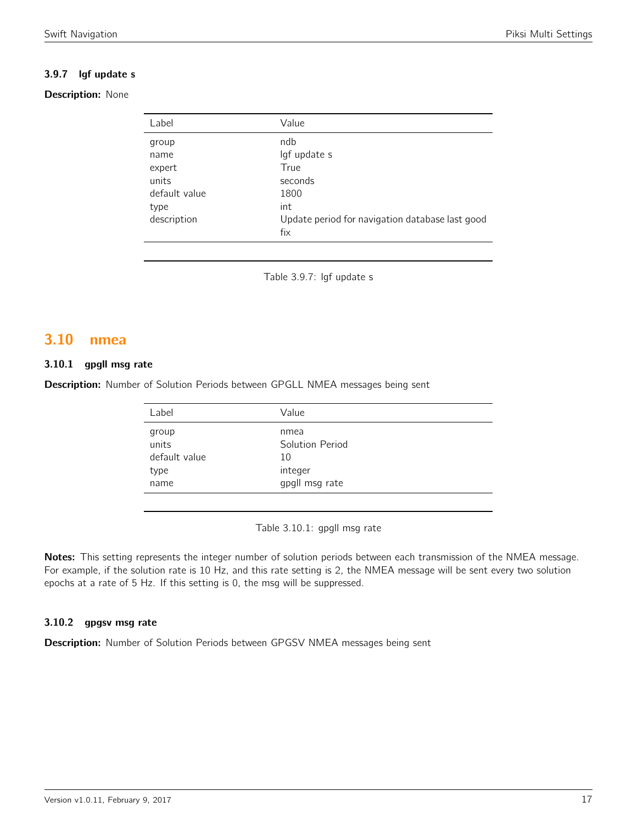### 3.9.7 lgf update s

#### Description: None

| Label         | Value                                           |
|---------------|-------------------------------------------------|
| group         | ndb                                             |
| name          | lgf update s                                    |
| expert        | True                                            |
| units         | seconds                                         |
| default value | 1800                                            |
| type          | int                                             |
| description   | Update period for navigation database last good |
|               | fix                                             |

Table 3.9.7: lgf update s

# <span id="page-16-0"></span>3.10 nmea

#### 3.10.1 gpgll msg rate

<span id="page-16-1"></span>Description: Number of Solution Periods between GPGLL NMEA messages being sent

| Label                                   | Value                                    |
|-----------------------------------------|------------------------------------------|
| group<br>units<br>default value<br>type | nmea<br>Solution Period<br>10<br>integer |
| name                                    | gpgll msg rate                           |

Table 3.10.1: gpgll msg rate

Notes: This setting represents the integer number of solution periods between each transmission of the NMEA message. For example, if the solution rate is 10 Hz, and this rate setting is 2, the NMEA message will be sent every two solution epochs at a rate of 5 Hz. If this setting is 0, the msg will be suppressed.

#### 3.10.2 gpgsv msg rate

Description: Number of Solution Periods between GPGSV NMEA messages being sent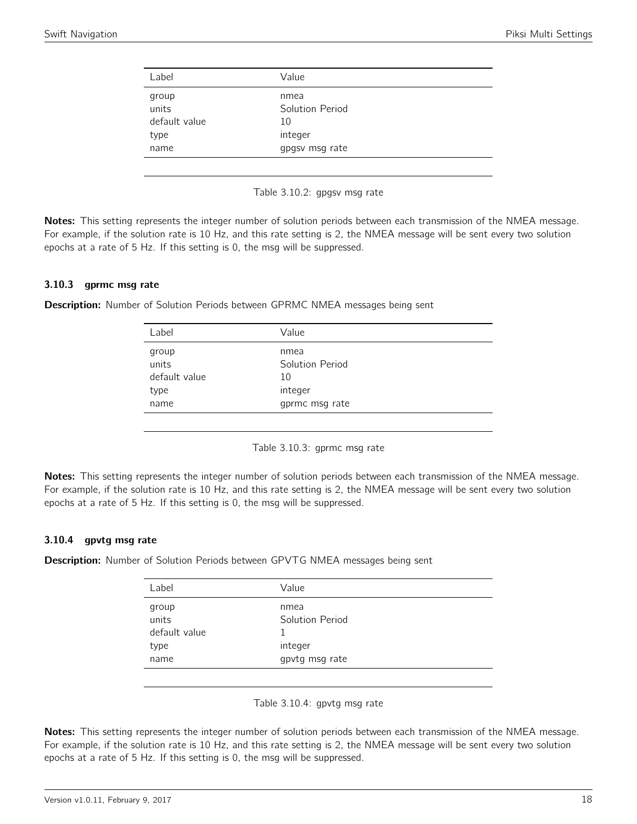<span id="page-17-0"></span>

| Label         | Value           |
|---------------|-----------------|
| group         | nmea            |
| units         | Solution Period |
| default value | 10              |
| type          | integer         |
| name          | gpgsv msg rate  |

Table 3.10.2: gpgsv msg rate

Notes: This setting represents the integer number of solution periods between each transmission of the NMEA message. For example, if the solution rate is 10 Hz, and this rate setting is 2, the NMEA message will be sent every two solution epochs at a rate of 5 Hz. If this setting is 0, the msg will be suppressed.

#### 3.10.3 gprmc msg rate

<span id="page-17-1"></span>**Description:** Number of Solution Periods between GPRMC NMEA messages being sent

| Label          | Value                   |
|----------------|-------------------------|
| group<br>units | nmea<br>Solution Period |
| default value  | 10                      |
| type           | integer                 |
| name           | gprmc msg rate          |

Table 3.10.3: gprmc msg rate

Notes: This setting represents the integer number of solution periods between each transmission of the NMEA message. For example, if the solution rate is 10 Hz, and this rate setting is 2, the NMEA message will be sent every two solution epochs at a rate of 5 Hz. If this setting is 0, the msg will be suppressed.

#### 3.10.4 gpvtg msg rate

<span id="page-17-2"></span>**Description:** Number of Solution Periods between GPVTG NMEA messages being sent

| Label          | Value                   |
|----------------|-------------------------|
| group<br>units | nmea<br>Solution Period |
| default value  |                         |
| type           | integer                 |
| name           | gpvtg msg rate          |

Table 3.10.4: gpvtg msg rate

Notes: This setting represents the integer number of solution periods between each transmission of the NMEA message. For example, if the solution rate is 10 Hz, and this rate setting is 2, the NMEA message will be sent every two solution epochs at a rate of 5 Hz. If this setting is 0, the msg will be suppressed.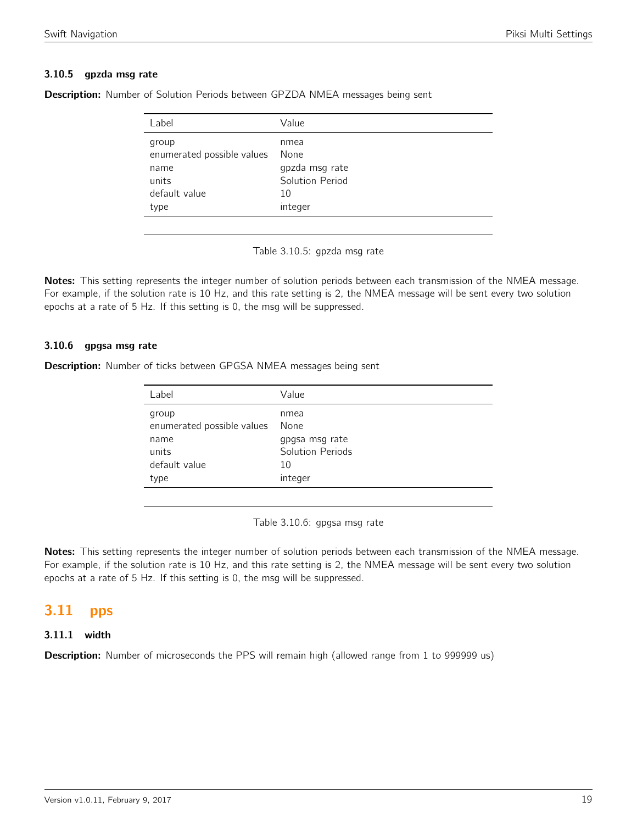#### 3.10.5 gpzda msg rate

| Label                      | Value           |
|----------------------------|-----------------|
| group                      | nmea            |
| enumerated possible values | None            |
| name                       | gpzda msg rate  |
| units                      | Solution Period |
| default value              | 10              |
| type                       | integer         |

<span id="page-18-0"></span>Description: Number of Solution Periods between GPZDA NMEA messages being sent

Table 3.10.5: gpzda msg rate

Notes: This setting represents the integer number of solution periods between each transmission of the NMEA message. For example, if the solution rate is 10 Hz, and this rate setting is 2, the NMEA message will be sent every two solution epochs at a rate of 5 Hz. If this setting is 0, the msg will be suppressed.

#### 3.10.6 gpgsa msg rate

Description: Number of ticks between GPGSA NMEA messages being sent

| Value                              |
|------------------------------------|
| nmea<br>None                       |
| gpgsa msg rate<br>Solution Periods |
| 10                                 |
| integer                            |
|                                    |

Table 3.10.6: gpgsa msg rate

Notes: This setting represents the integer number of solution periods between each transmission of the NMEA message. For example, if the solution rate is 10 Hz, and this rate setting is 2, the NMEA message will be sent every two solution epochs at a rate of 5 Hz. If this setting is 0, the msg will be suppressed.

# <span id="page-18-1"></span>3.11 pps

#### 3.11.1 width

**Description:** Number of microseconds the PPS will remain high (allowed range from 1 to 999999 us)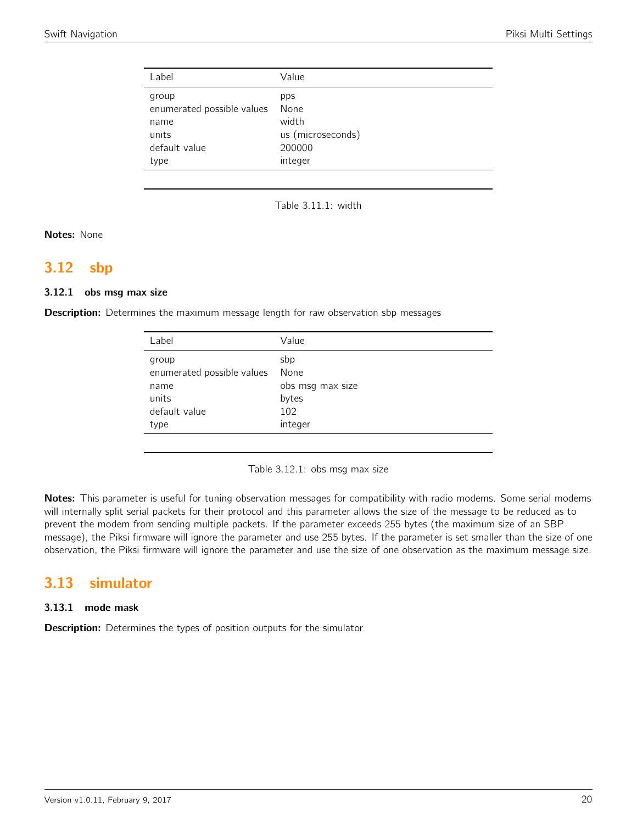| Label                                                                 | Value                                               |
|-----------------------------------------------------------------------|-----------------------------------------------------|
| group<br>enumerated possible values<br>name<br>units<br>default value | pps<br>None<br>width<br>us (microseconds)<br>200000 |
| type                                                                  | integer                                             |

Table 3.11.1: width

Notes: None

### <span id="page-19-0"></span>3.12 sbp

#### 3.12.1 obs msg max size

**Description:** Determines the maximum message length for raw observation sbp messages

| Label                                                                         | Value                                                      |
|-------------------------------------------------------------------------------|------------------------------------------------------------|
| group<br>enumerated possible values<br>name<br>units<br>default value<br>type | sbp<br>None<br>obs msg max size<br>bytes<br>102<br>integer |
|                                                                               |                                                            |

Table 3.12.1: obs msg max size

Notes: This parameter is useful for tuning observation messages for compatibility with radio modems. Some serial modems will internally split serial packets for their protocol and this parameter allows the size of the message to be reduced as to prevent the modem from sending multiple packets. If the parameter exceeds 255 bytes (the maximum size of an SBP message), the Piksi firmware will ignore the parameter and use 255 bytes. If the parameter is set smaller than the size of one observation, the Piksi firmware will ignore the parameter and use the size of one observation as the maximum message size.

## <span id="page-19-1"></span>3.13 simulator

#### 3.13.1 mode mask

**Description:** Determines the types of position outputs for the simulator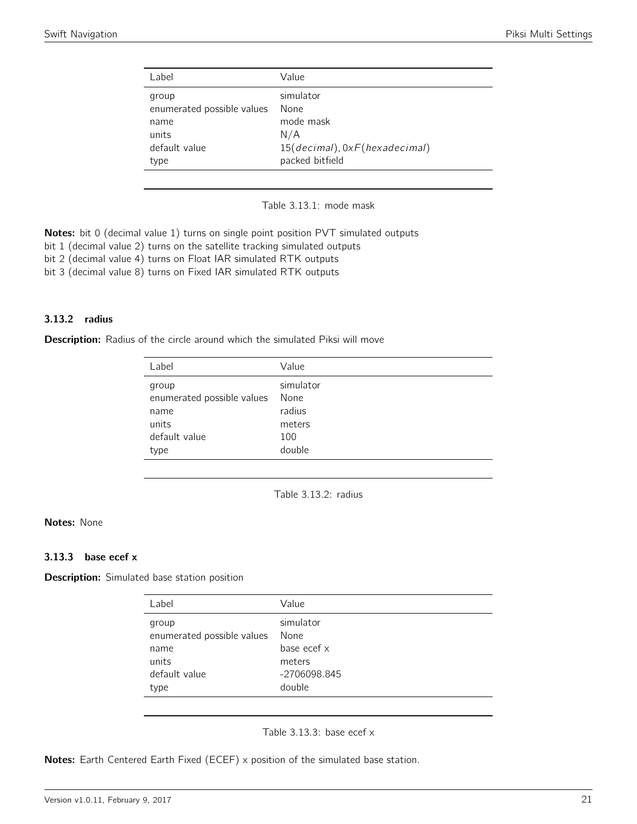<span id="page-20-0"></span>

| Label                                                                         | Value                                                                                     |
|-------------------------------------------------------------------------------|-------------------------------------------------------------------------------------------|
| group<br>enumerated possible values<br>name<br>units<br>default value<br>type | simulator<br>None<br>mode mask<br>N/A<br>15(decimal), 0xF(hexadecimal)<br>packed bitfield |
|                                                                               |                                                                                           |

Table 3.13.1: mode mask

**Notes:** bit 0 (decimal value 1) turns on single point position PVT simulated outputs

bit 1 (decimal value 2) turns on the satellite tracking simulated outputs

bit 2 (decimal value 4) turns on Float IAR simulated RTK outputs

bit 3 (decimal value 8) turns on Fixed IAR simulated RTK outputs

#### 3.13.2 radius

<span id="page-20-1"></span>**Description:** Radius of the circle around which the simulated Piksi will move

| simulator<br>group<br>enumerated possible values<br>None<br>radius<br>name<br>units<br>meters<br>default value<br>100<br>double<br>type | Label | Value |
|-----------------------------------------------------------------------------------------------------------------------------------------|-------|-------|
|                                                                                                                                         |       |       |



#### Notes: None

#### 3.13.3 base ecef x

<span id="page-20-2"></span>**Description:** Simulated base station position

| simulator<br>group<br>enumerated possible values<br>None<br>base ecef x<br>name<br>units<br>meters<br>default value<br>-2706098.845 | Label | Value  |
|-------------------------------------------------------------------------------------------------------------------------------------|-------|--------|
| type                                                                                                                                |       | double |

Table 3.13.3: base ecef x

Notes: Earth Centered Earth Fixed (ECEF) x position of the simulated base station.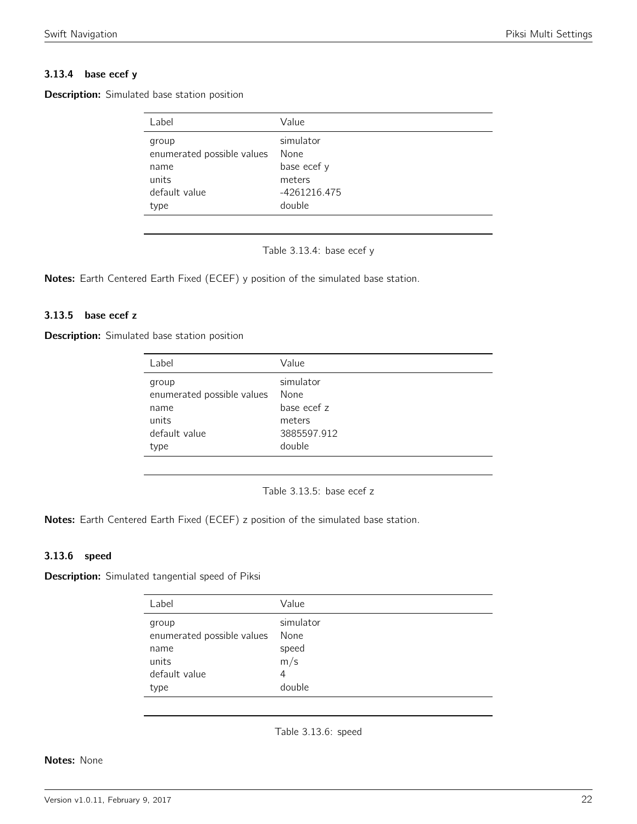#### 3.13.4 base ecef y

<span id="page-21-0"></span>

| <b>Description:</b> Simulated base station position |  |  |  |
|-----------------------------------------------------|--|--|--|
|-----------------------------------------------------|--|--|--|

| simulator<br>group<br>enumerated possible values<br>None<br>base ecef y<br>name<br>units<br>meters<br>default value<br>-4261216.475<br>double<br>type | Label | Value |
|-------------------------------------------------------------------------------------------------------------------------------------------------------|-------|-------|
|                                                                                                                                                       |       |       |

Table 3.13.4: base ecef y

Notes: Earth Centered Earth Fixed (ECEF) y position of the simulated base station.

#### 3.13.5 base ecef z

<span id="page-21-1"></span>Description: Simulated base station position

| Label                                                                         | Value                                                               |
|-------------------------------------------------------------------------------|---------------------------------------------------------------------|
| group<br>enumerated possible values<br>name<br>units<br>default value<br>type | simulator<br>None<br>base ecef z<br>meters<br>3885597.912<br>double |
|                                                                               |                                                                     |

Table 3.13.5: base ecef z

Notes: Earth Centered Earth Fixed (ECEF) z position of the simulated base station.

#### 3.13.6 speed

<span id="page-21-2"></span>Description: Simulated tangential speed of Piksi

| Label                                                                 | Value                                            |
|-----------------------------------------------------------------------|--------------------------------------------------|
| group<br>enumerated possible values<br>name<br>units<br>default value | simulator<br>None<br>speed<br>m/s<br>4<br>double |
| type                                                                  |                                                  |

Table 3.13.6: speed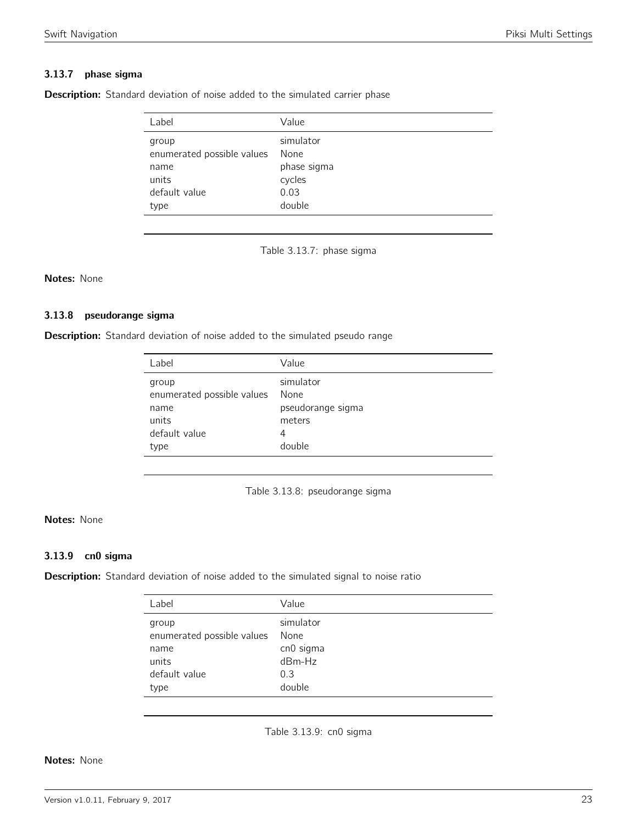#### 3.13.7 phase sigma

<span id="page-22-0"></span>Description: Standard deviation of noise added to the simulated carrier phase

| Label                      | Value       |
|----------------------------|-------------|
| group                      | simulator   |
| enumerated possible values | None        |
| name                       | phase sigma |
| units                      | cycles      |
| default value              | 0.03        |
| type                       | double      |

Table 3.13.7: phase sigma

#### Notes: None

#### 3.13.8 pseudorange sigma

<span id="page-22-1"></span>Description: Standard deviation of noise added to the simulated pseudo range

| Label                                                                         | Value                                                           |
|-------------------------------------------------------------------------------|-----------------------------------------------------------------|
| group<br>enumerated possible values<br>name<br>units<br>default value<br>type | simulator<br>None<br>pseudorange sigma<br>meters<br>4<br>double |
|                                                                               |                                                                 |



#### Notes: None

#### 3.13.9 cn0 sigma

<span id="page-22-2"></span>Description: Standard deviation of noise added to the simulated signal to noise ratio

| Label                      | Value     |
|----------------------------|-----------|
| group                      | simulator |
| enumerated possible values | None      |
| name                       | cn0 sigma |
| units                      | dBm-Hz    |
| default value              | 0.3       |
| type                       | double    |

Table 3.13.9: cn0 sigma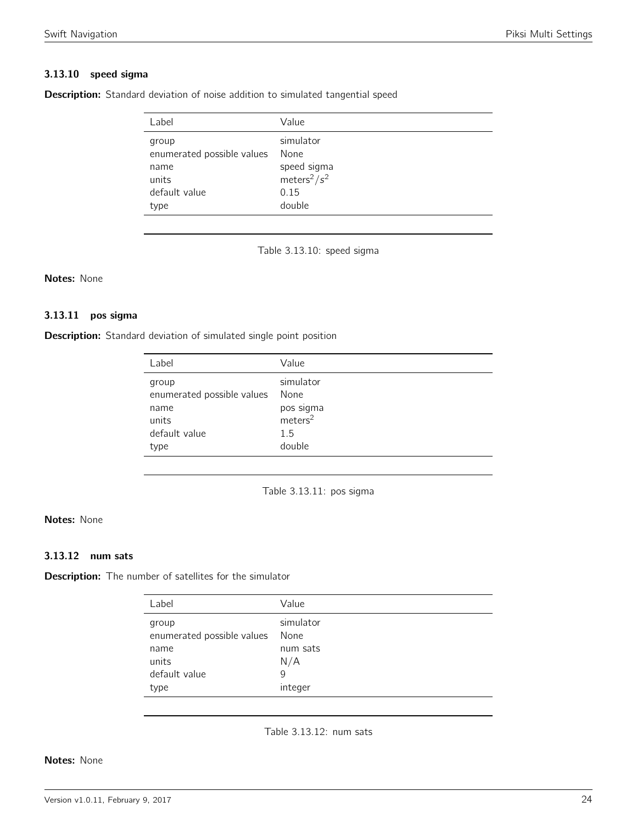#### 3.13.10 speed sigma

<span id="page-23-0"></span>Description: Standard deviation of noise addition to simulated tangential speed

| Label                      | Value                       |
|----------------------------|-----------------------------|
| group                      | simulator                   |
| enumerated possible values | None                        |
| name                       | speed sigma                 |
| units                      | meters <sup>2</sup> / $s^2$ |
| default value              | 0.15                        |
| type                       | double                      |

Table 3.13.10: speed sigma

#### Notes: None

#### 3.13.11 pos sigma

<span id="page-23-1"></span>Description: Standard deviation of simulated single point position

| Label                                                                         | Value                                                                  |
|-------------------------------------------------------------------------------|------------------------------------------------------------------------|
| group<br>enumerated possible values<br>name<br>units<br>default value<br>type | simulator<br>None<br>pos sigma<br>meters <sup>2</sup><br>1.5<br>double |
|                                                                               |                                                                        |



#### Notes: None

#### 3.13.12 num sats

<span id="page-23-2"></span>**Description:** The number of satellites for the simulator

| Label                      | Value     |
|----------------------------|-----------|
| group                      | simulator |
| enumerated possible values | None      |
| name                       | num sats  |
| units                      | N/A       |
| default value              | 9         |
| type                       | integer   |

Table 3.13.12: num sats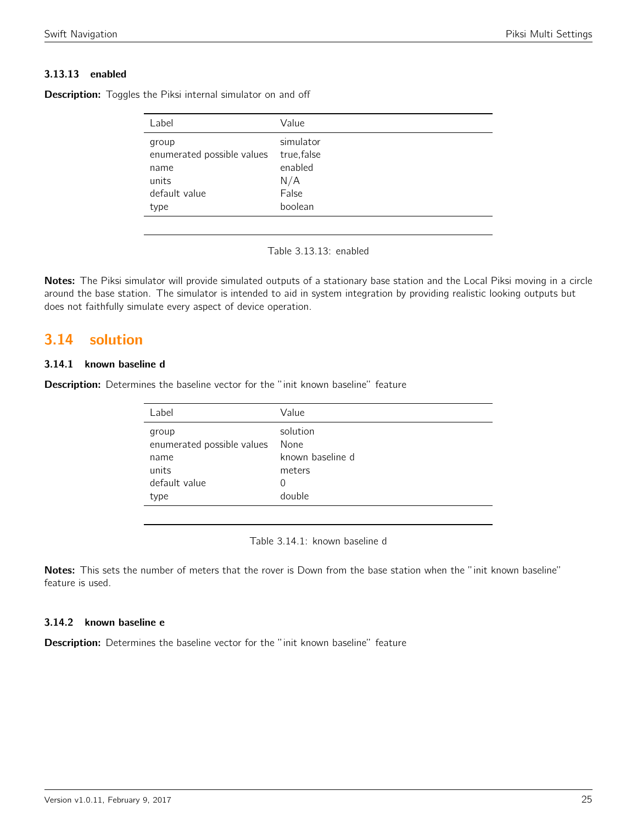#### 3.13.13 enabled

| Label                      | Value       |
|----------------------------|-------------|
| group                      | simulator   |
| enumerated possible values | true, false |
| name                       | enabled     |
| units                      | N/A         |
| default value              | False       |
| type                       | boolean     |

**Description:** Toggles the Piksi internal simulator on and off

Table 3.13.13: enabled

Notes: The Piksi simulator will provide simulated outputs of a stationary base station and the Local Piksi moving in a circle around the base station. The simulator is intended to aid in system integration by providing realistic looking outputs but does not faithfully simulate every aspect of device operation.

## <span id="page-24-0"></span>3.14 solution

#### 3.14.1 known baseline d

<span id="page-24-1"></span>**Description:** Determines the baseline vector for the "init known baseline" feature

| solution<br>group<br>enumerated possible values<br>None<br>known baseline d<br>name<br>units<br>meters<br>default value<br>$\Omega$ | Label | Value |
|-------------------------------------------------------------------------------------------------------------------------------------|-------|-------|
|                                                                                                                                     |       |       |
|                                                                                                                                     |       |       |
|                                                                                                                                     |       |       |
|                                                                                                                                     |       |       |
| double<br>type                                                                                                                      |       |       |

Table 3.14.1: known baseline d

Notes: This sets the number of meters that the rover is Down from the base station when the "init known baseline" feature is used.

#### 3.14.2 known baseline e

**Description:** Determines the baseline vector for the "init known baseline" feature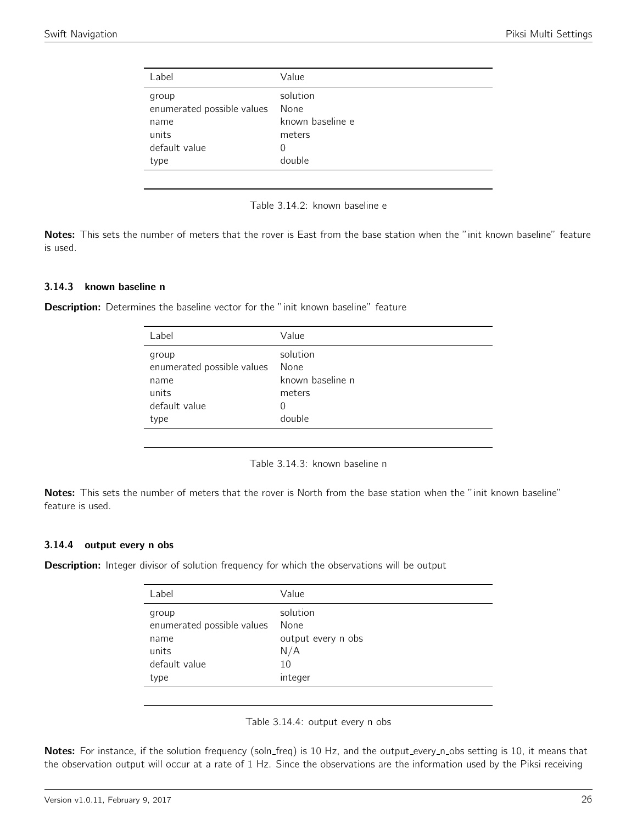<span id="page-25-0"></span>

| Label                                                                         | Value                                                         |
|-------------------------------------------------------------------------------|---------------------------------------------------------------|
| group<br>enumerated possible values<br>name<br>units<br>default value<br>type | solution<br>None<br>known baseline e<br>meters<br>0<br>double |
|                                                                               |                                                               |



Notes: This sets the number of meters that the rover is East from the base station when the "init known baseline" feature is used.

#### 3.14.3 known baseline n

<span id="page-25-1"></span>**Description:** Determines the baseline vector for the "init known baseline" feature

| Label                      | Value            |
|----------------------------|------------------|
| group                      | solution         |
| enumerated possible values | None             |
| name                       | known baseline n |
| units                      | meters           |
| default value              | $\left( \right)$ |
| type                       | double           |

Table 3.14.3: known baseline n

Notes: This sets the number of meters that the rover is North from the base station when the "init known baseline" feature is used.

#### 3.14.4 output every n obs

<span id="page-25-2"></span>**Description:** Integer divisor of solution frequency for which the observations will be output

| Label                      | Value              |
|----------------------------|--------------------|
| group                      | solution           |
| enumerated possible values | None               |
| name                       | output every n obs |
| units                      | N/A                |
| default value              | 10                 |
| type                       | integer            |
|                            |                    |

Table 3.14.4: output every n obs

Notes: For instance, if the solution frequency (soln\_freq) is 10 Hz, and the output\_every\_n\_obs setting is 10, it means that the observation output will occur at a rate of 1 Hz. Since the observations are the information used by the Piksi receiving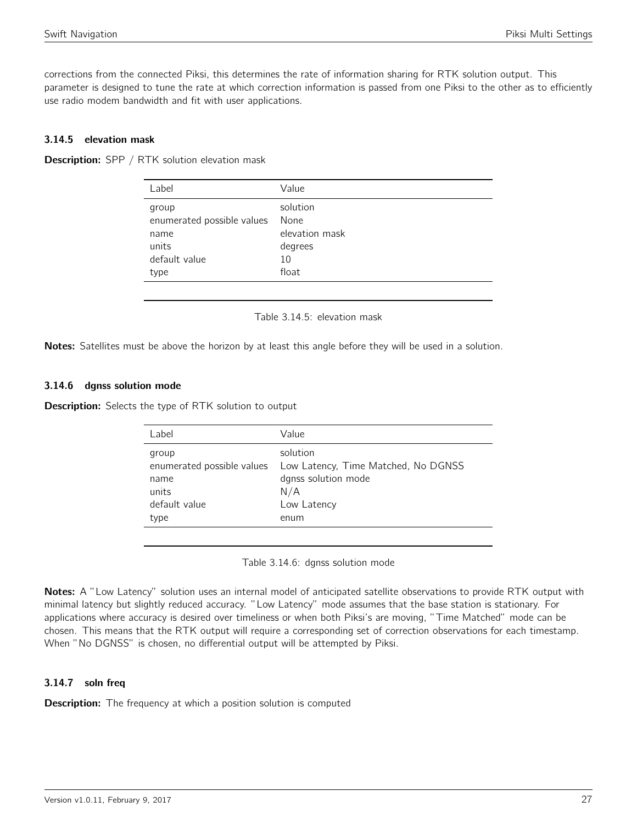corrections from the connected Piksi, this determines the rate of information sharing for RTK solution output. This parameter is designed to tune the rate at which correction information is passed from one Piksi to the other as to efficiently use radio modem bandwidth and fit with user applications.

#### 3.14.5 elevation mask

<span id="page-26-0"></span>Description: SPP / RTK solution elevation mask

| Label                                                                         | Value                                                        |
|-------------------------------------------------------------------------------|--------------------------------------------------------------|
| group<br>enumerated possible values<br>name<br>units<br>default value<br>type | solution<br>None<br>elevation mask<br>degrees<br>10<br>float |
|                                                                               |                                                              |

Table 3.14.5: elevation mask

Notes: Satellites must be above the horizon by at least this angle before they will be used in a solution.

#### 3.14.6 dgnss solution mode

<span id="page-26-1"></span>Description: Selects the type of RTK solution to output

| Label                                                                         | Value                                                                                                |
|-------------------------------------------------------------------------------|------------------------------------------------------------------------------------------------------|
| group<br>enumerated possible values<br>name<br>units<br>default value<br>type | solution<br>Low Latency, Time Matched, No DGNSS<br>dgnss solution mode<br>N/A<br>Low Latency<br>enum |
|                                                                               |                                                                                                      |

Table 3.14.6: dgnss solution mode

Notes: A "Low Latency" solution uses an internal model of anticipated satellite observations to provide RTK output with minimal latency but slightly reduced accuracy. "Low Latency" mode assumes that the base station is stationary. For applications where accuracy is desired over timeliness or when both Piksi's are moving, "Time Matched" mode can be chosen. This means that the RTK output will require a corresponding set of correction observations for each timestamp. When "No DGNSS" is chosen, no differential output will be attempted by Piksi.

#### 3.14.7 soln freq

**Description:** The frequency at which a position solution is computed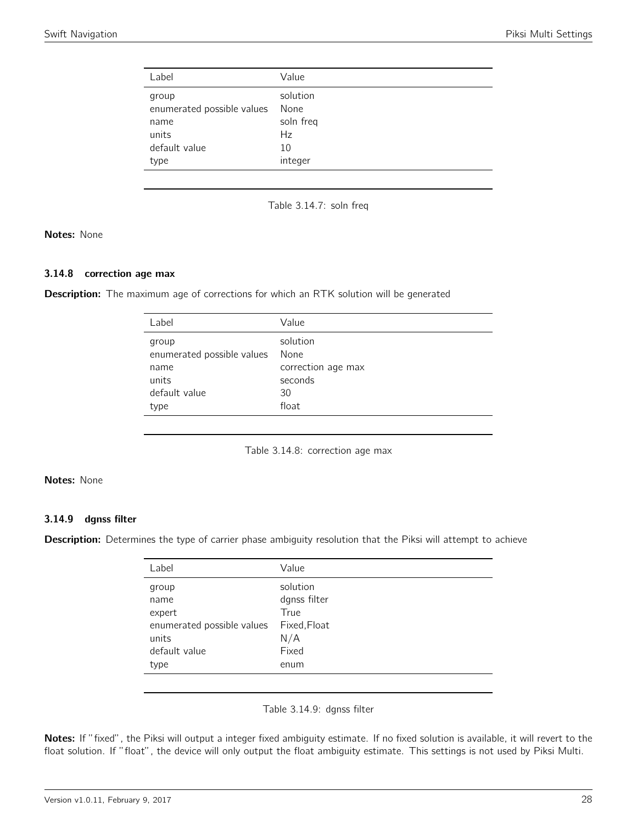<span id="page-27-0"></span>

| solution<br>group<br>enumerated possible values<br>None<br>soln freq<br>name<br>units<br>Hz<br>default value<br>10<br>integer<br>type | Label | Value |
|---------------------------------------------------------------------------------------------------------------------------------------|-------|-------|
|                                                                                                                                       |       |       |



Notes: None

#### 3.14.8 correction age max

<span id="page-27-1"></span>**Description:** The maximum age of corrections for which an RTK solution will be generated

| Label                      | Value              |
|----------------------------|--------------------|
| group                      | solution           |
| enumerated possible values | None               |
| name                       | correction age max |
| units                      | seconds            |
| default value              | 30                 |
| type                       | float              |
|                            |                    |

Table 3.14.8: correction age max

#### Notes: None

#### 3.14.9 dgnss filter

<span id="page-27-2"></span>Description: Determines the type of carrier phase ambiguity resolution that the Piksi will attempt to achieve

| Label                      | Value        |
|----------------------------|--------------|
| group                      | solution     |
| name                       | dgnss filter |
| expert                     | True         |
| enumerated possible values | Fixed, Float |
| units                      | N/A          |
| default value              | Fixed        |
| type                       | enum         |
|                            |              |

Table 3.14.9: dgnss filter

Notes: If "fixed", the Piksi will output a integer fixed ambiguity estimate. If no fixed solution is available, it will revert to the float solution. If "float", the device will only output the float ambiguity estimate. This settings is not used by Piksi Multi.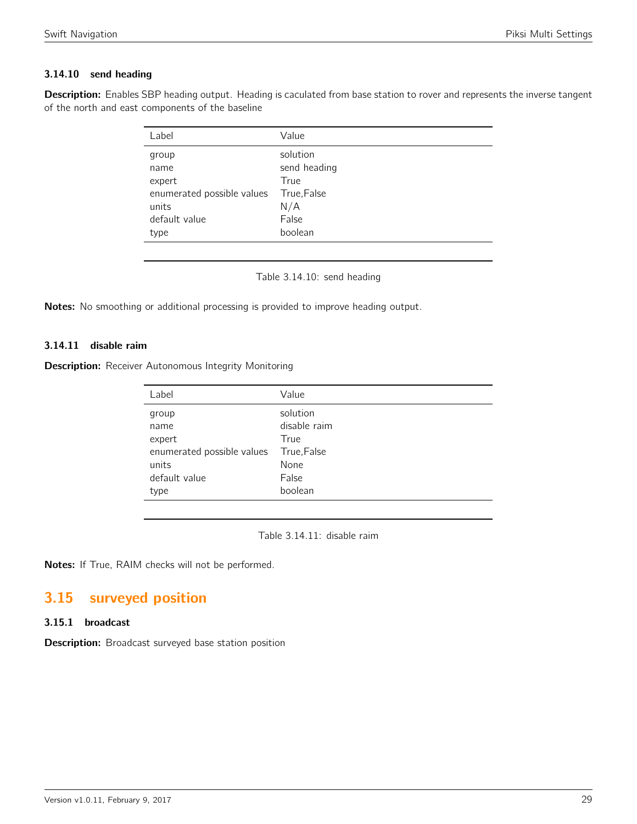#### 3.14.10 send heading

<span id="page-28-0"></span>Description: Enables SBP heading output. Heading is caculated from base station to rover and represents the inverse tangent of the north and east components of the baseline

| Label                      | Value        |
|----------------------------|--------------|
| group                      | solution     |
| name                       | send heading |
| expert                     | True         |
| enumerated possible values | True, False  |
| units                      | N/A          |
| default value              | False        |
| type                       | boolean      |

Table 3.14.10: send heading

Notes: No smoothing or additional processing is provided to improve heading output.

#### 3.14.11 disable raim

**Description:** Receiver Autonomous Integrity Monitoring

| Label                      | Value        |
|----------------------------|--------------|
| group                      | solution     |
| name                       | disable raim |
| expert                     | True         |
| enumerated possible values | True, False  |
| units                      | None         |
| default value              | False        |
| type                       | boolean      |

Table 3.14.11: disable raim

Notes: If True, RAIM checks will not be performed.

# <span id="page-28-1"></span>3.15 surveyed position

#### 3.15.1 broadcast

**Description:** Broadcast surveyed base station position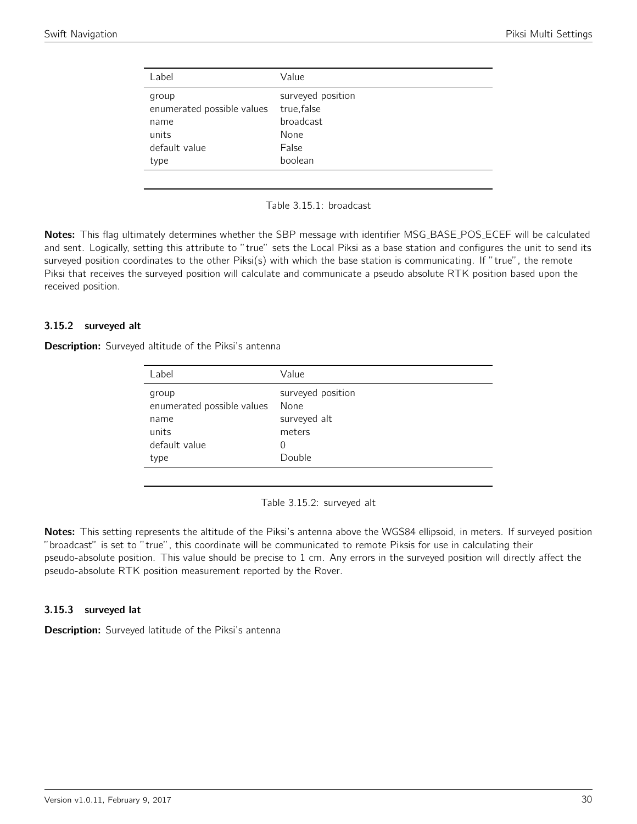<span id="page-29-0"></span>

| Label                      | Value             |
|----------------------------|-------------------|
| group                      | surveyed position |
| enumerated possible values | true, false       |
| name                       | broadcast         |
| units                      | None              |
| default value              | False             |
| type                       | boolean           |



Notes: This flag ultimately determines whether the SBP message with identifier MSG\_BASE\_POS\_ECEF will be calculated and sent. Logically, setting this attribute to "true" sets the Local Piksi as a base station and configures the unit to send its surveyed position coordinates to the other Piksi(s) with which the base station is communicating. If "true", the remote Piksi that receives the surveyed position will calculate and communicate a pseudo absolute RTK position based upon the received position.

#### 3.15.2 surveyed alt

<span id="page-29-1"></span>**Description:** Surveyed altitude of the Piksi's antenna

| Value                     |
|---------------------------|
| surveyed position<br>None |
| surveyed alt              |
| meters                    |
| $\Omega$                  |
| Double                    |
|                           |

Table 3.15.2: surveyed alt

Notes: This setting represents the altitude of the Piksi's antenna above the WGS84 ellipsoid, in meters. If surveyed position "broadcast" is set to "true", this coordinate will be communicated to remote Piksis for use in calculating their pseudo-absolute position. This value should be precise to 1 cm. Any errors in the surveyed position will directly affect the pseudo-absolute RTK position measurement reported by the Rover.

#### 3.15.3 surveyed lat

Description: Surveyed latitude of the Piksi's antenna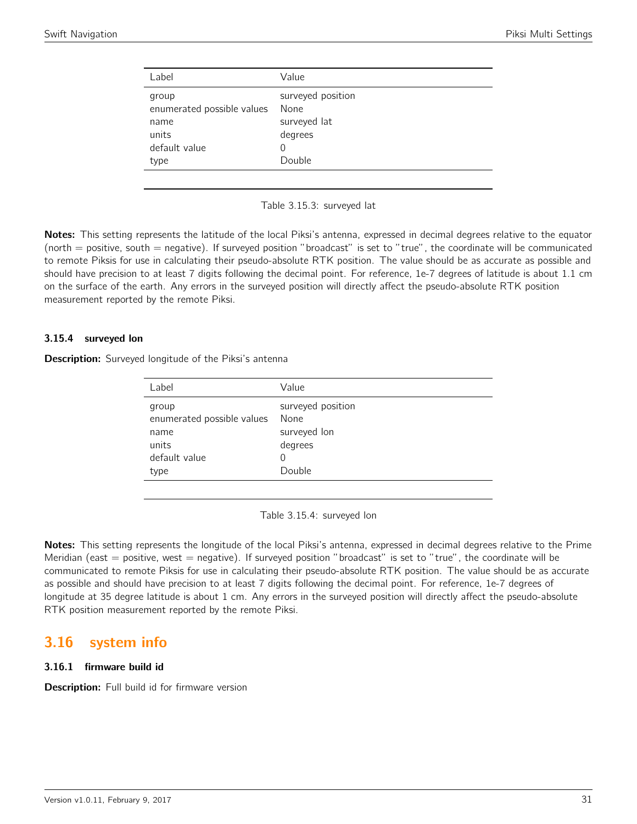<span id="page-30-0"></span>

| Label                                                                 | Value                                                               |
|-----------------------------------------------------------------------|---------------------------------------------------------------------|
| group<br>enumerated possible values<br>name<br>units<br>default value | surveyed position<br>None<br>surveyed lat<br>degrees<br>0<br>Double |
| type                                                                  |                                                                     |



Notes: This setting represents the latitude of the local Piksi's antenna, expressed in decimal degrees relative to the equator (north = positive, south = negative). If surveyed position "broadcast" is set to "true", the coordinate will be communicated to remote Piksis for use in calculating their pseudo-absolute RTK position. The value should be as accurate as possible and should have precision to at least 7 digits following the decimal point. For reference, 1e-7 degrees of latitude is about 1.1 cm on the surface of the earth. Any errors in the surveyed position will directly affect the pseudo-absolute RTK position measurement reported by the remote Piksi.

#### 3.15.4 surveyed lon

**Description:** Surveyed longitude of the Piksi's antenna

| Label                                                                         | Value                                                               |
|-------------------------------------------------------------------------------|---------------------------------------------------------------------|
| group<br>enumerated possible values<br>name<br>units<br>default value<br>type | surveyed position<br>None<br>surveyed lon<br>degrees<br>0<br>Double |
|                                                                               |                                                                     |

Table 3.15.4: surveyed lon

Notes: This setting represents the longitude of the local Piksi's antenna, expressed in decimal degrees relative to the Prime Meridian (east  $=$  positive, west  $=$  negative). If surveyed position "broadcast" is set to "true", the coordinate will be communicated to remote Piksis for use in calculating their pseudo-absolute RTK position. The value should be as accurate as possible and should have precision to at least 7 digits following the decimal point. For reference, 1e-7 degrees of longitude at 35 degree latitude is about 1 cm. Any errors in the surveyed position will directly affect the pseudo-absolute RTK position measurement reported by the remote Piksi.

## <span id="page-30-1"></span>3.16 system info

#### 3.16.1 firmware build id

**Description:** Full build id for firmware version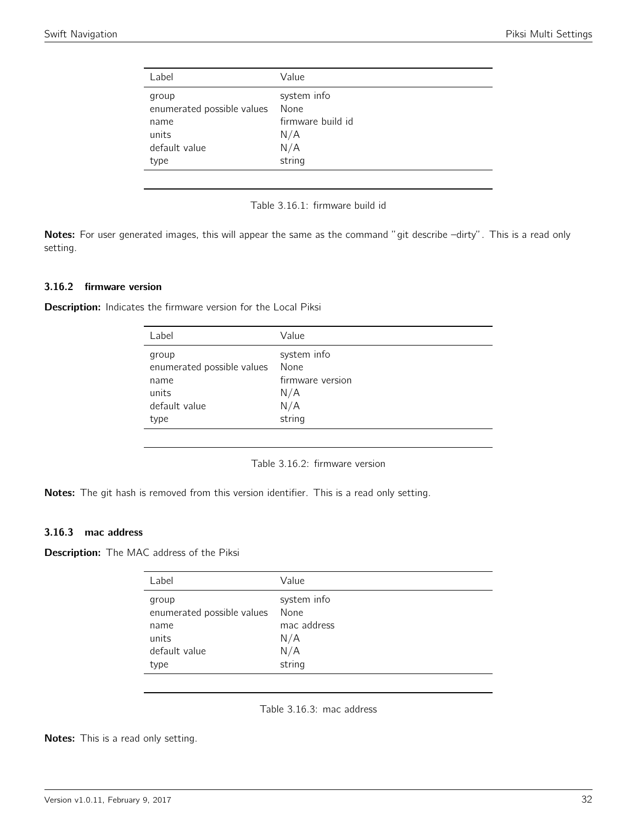<span id="page-31-0"></span>

| Label                      | Value             |
|----------------------------|-------------------|
| group                      | system info       |
| enumerated possible values | None              |
| name                       | firmware build id |
| units                      | N/A               |
| default value              | N/A               |
| type                       | string            |
|                            |                   |



Notes: For user generated images, this will appear the same as the command "git describe -dirty". This is a read only setting.

#### 3.16.2 firmware version

<span id="page-31-1"></span>Description: Indicates the firmware version for the Local Piksi

| Label                      | Value            |
|----------------------------|------------------|
| group                      | system info      |
| enumerated possible values | None             |
| name                       | firmware version |
| units                      | N/A              |
| default value              | N/A              |
| type                       | string           |
|                            |                  |

Table 3.16.2: firmware version

Notes: The git hash is removed from this version identifier. This is a read only setting.

#### 3.16.3 mac address

<span id="page-31-2"></span>Description: The MAC address of the Piksi

| Label                                                                         | Value                                                      |
|-------------------------------------------------------------------------------|------------------------------------------------------------|
| group<br>enumerated possible values<br>name<br>units<br>default value<br>type | system info<br>None<br>mac address<br>N/A<br>N/A<br>string |
|                                                                               |                                                            |

Table 3.16.3: mac address

Notes: This is a read only setting.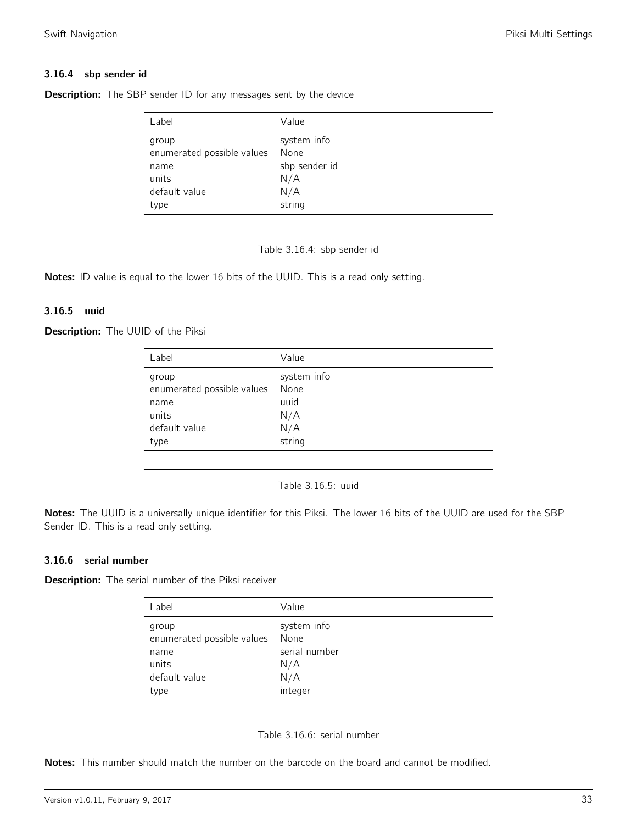#### 3.16.4 sbp sender id

| Label                      | Value         |
|----------------------------|---------------|
| group                      | system info   |
| enumerated possible values | None          |
| name                       | sbp sender id |
| units                      | N/A           |
| default value              | N/A           |
| type                       | string        |

<span id="page-32-0"></span>**Description:** The SBP sender ID for any messages sent by the device

Table 3.16.4: sbp sender id

Notes: ID value is equal to the lower 16 bits of the UUID. This is a read only setting.

#### 3.16.5 uuid

<span id="page-32-1"></span>Description: The UUID of the Piksi

| Label                      | Value       |
|----------------------------|-------------|
| group                      | system info |
| enumerated possible values | None        |
| name                       | uuid        |
| units                      | N/A         |
| default value              | N/A         |
| type                       | string      |
|                            |             |

Table 3.16.5: uuid

Notes: The UUID is a universally unique identifier for this Piksi. The lower 16 bits of the UUID are used for the SBP Sender ID. This is a read only setting.

#### 3.16.6 serial number

<span id="page-32-2"></span>Description: The serial number of the Piksi receiver

| Label                                                                         | Value                                                         |
|-------------------------------------------------------------------------------|---------------------------------------------------------------|
| group<br>enumerated possible values<br>name<br>units<br>default value<br>type | system info<br>None<br>serial number<br>N/A<br>N/A<br>integer |
|                                                                               |                                                               |

Table 3.16.6: serial number

Notes: This number should match the number on the barcode on the board and cannot be modified.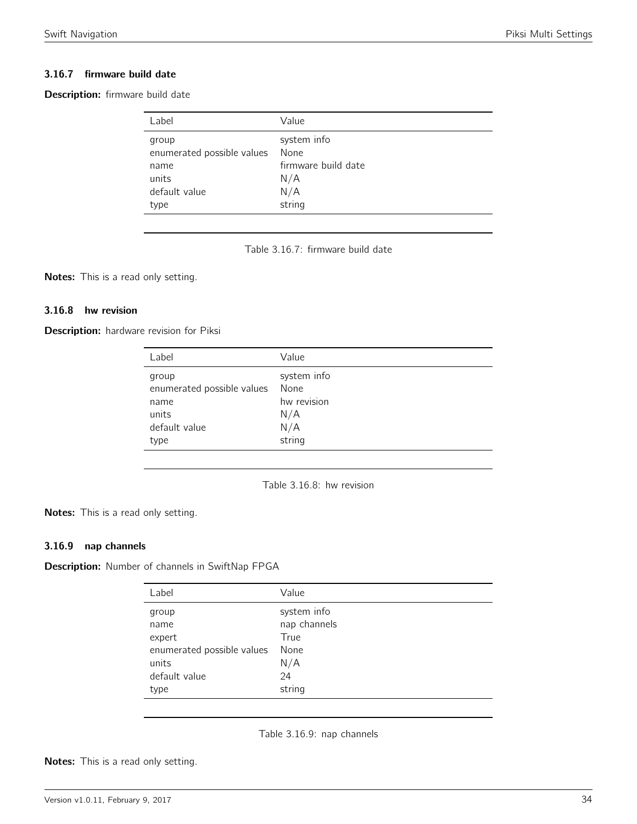#### 3.16.7 firmware build date

<span id="page-33-0"></span>Description: firmware build date

| Label                               | Value               |
|-------------------------------------|---------------------|
| group<br>enumerated possible values | system info<br>None |
| name                                | firmware build date |
| units                               | N/A                 |
| default value                       | N/A                 |
| type                                | string              |

Table 3.16.7: firmware build date

Notes: This is a read only setting.

#### 3.16.8 hw revision

<span id="page-33-1"></span>Description: hardware revision for Piksi

| Label                                                                 | Value                                            |
|-----------------------------------------------------------------------|--------------------------------------------------|
| group<br>enumerated possible values<br>name<br>units<br>default value | system info<br>None<br>hw revision<br>N/A<br>N/A |
| type                                                                  | string                                           |
|                                                                       |                                                  |

Table 3.16.8: hw revision

Notes: This is a read only setting.

#### 3.16.9 nap channels

<span id="page-33-2"></span>Description: Number of channels in SwiftNap FPGA

| Value        |
|--------------|
| system info  |
| nap channels |
| True         |
| None         |
| N/A          |
| 24           |
| string       |
|              |

Table 3.16.9: nap channels

Notes: This is a read only setting.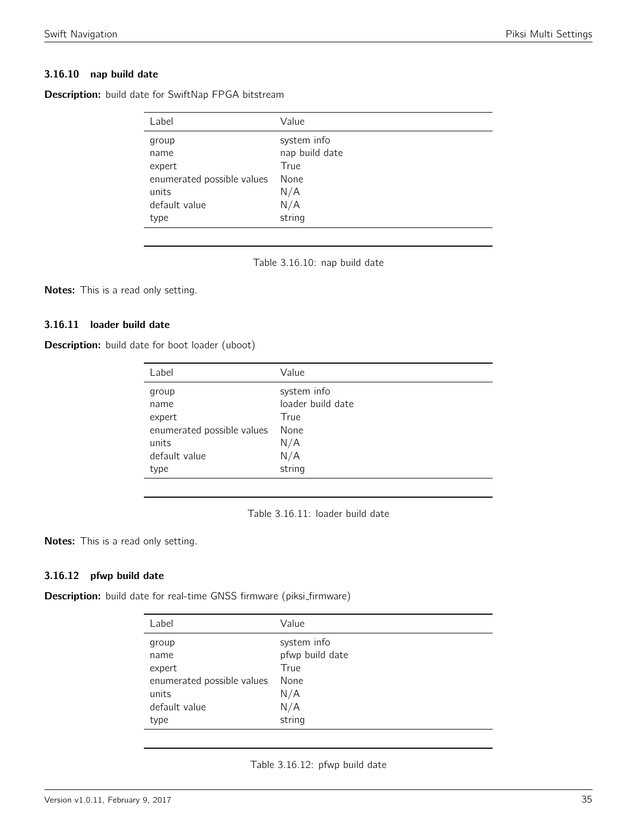#### 3.16.10 nap build date

| Label                      | Value          |
|----------------------------|----------------|
| group                      | system info    |
| name                       | nap build date |
| expert                     | True           |
| enumerated possible values | None           |
| units                      | N/A            |
| default value              | N/A            |
| type                       | string         |

<span id="page-34-0"></span>Description: build date for SwiftNap FPGA bitstream

Table 3.16.10: nap build date

Notes: This is a read only setting.

#### 3.16.11 loader build date

<span id="page-34-1"></span>Description: build date for boot loader (uboot)

| Label                      | Value             |
|----------------------------|-------------------|
| group                      | system info       |
| name                       | loader build date |
| expert                     | True              |
| enumerated possible values | None              |
| units                      | N/A               |
| default value              | N/A               |
| type                       | string            |

Table 3.16.11: loader build date

Notes: This is a read only setting.

#### 3.16.12 pfwp build date

<span id="page-34-2"></span>Description: build date for real-time GNSS firmware (piksi\_firmware)

| Label                      | Value           |
|----------------------------|-----------------|
| group                      | system info     |
| name                       | pfwp build date |
| expert                     | True            |
| enumerated possible values | None            |
| units                      | N/A             |
| default value              | N/A             |
| type                       | string          |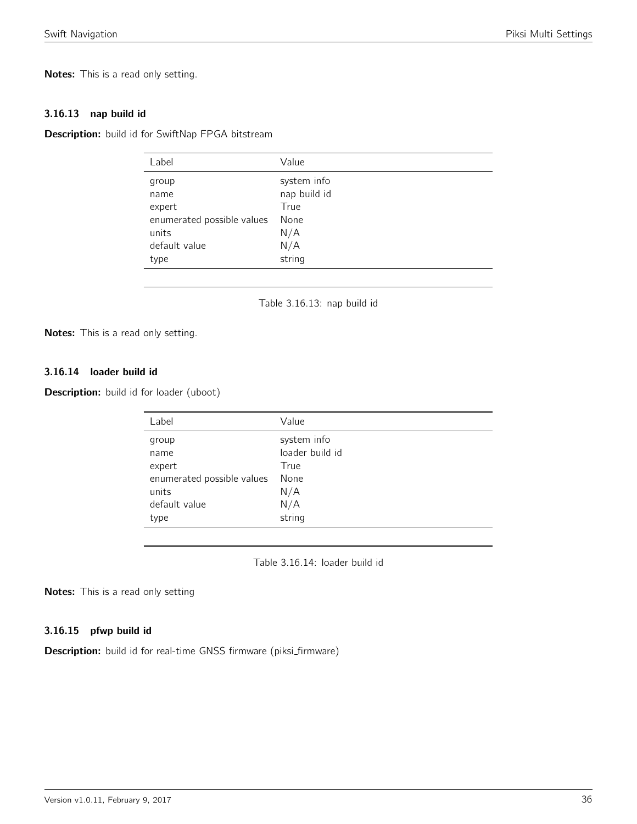Notes: This is a read only setting.

#### 3.16.13 nap build id

<span id="page-35-0"></span>Description: build id for SwiftNap FPGA bitstream

| Label                      | Value        |
|----------------------------|--------------|
| group                      | system info  |
| name                       | nap build id |
| expert                     | True         |
| enumerated possible values | None         |
| units                      | N/A          |
| default value              | N/A          |
| type                       | string       |
|                            |              |

Table 3.16.13: nap build id

Notes: This is a read only setting.

#### 3.16.14 loader build id

<span id="page-35-1"></span>Description: build id for loader (uboot)

| system info     |
|-----------------|
| loader build id |
| True            |
| None            |
| N/A             |
| N/A             |
| string          |
|                 |

Table 3.16.14: loader build id

Notes: This is a read only setting

#### 3.16.15 pfwp build id

Description: build id for real-time GNSS firmware (piksi\_firmware)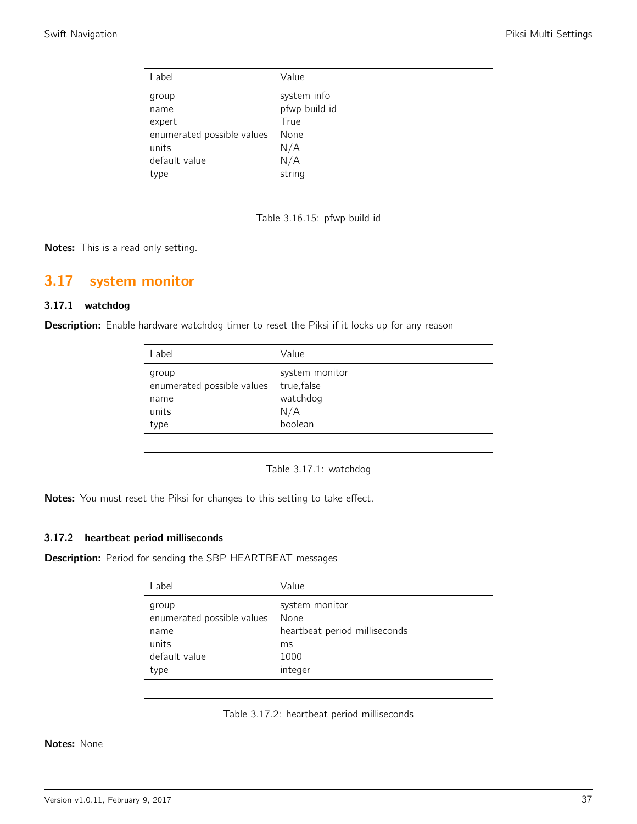| Value         |
|---------------|
| system info   |
| pfwp build id |
| True          |
| None          |
| N/A           |
| N/A           |
| string        |
|               |

Table 3.16.15: pfwp build id

Notes: This is a read only setting.

### <span id="page-36-0"></span>3.17 system monitor

#### 3.17.1 watchdog

<span id="page-36-1"></span>Description: Enable hardware watchdog timer to reset the Piksi if it locks up for any reason

| Label                                                        | Value                                                       |
|--------------------------------------------------------------|-------------------------------------------------------------|
| group<br>enumerated possible values<br>name<br>units<br>type | system monitor<br>true, false<br>watchdog<br>N/A<br>boolean |
|                                                              |                                                             |

Table 3.17.1: watchdog

Notes: You must reset the Piksi for changes to this setting to take effect.

#### 3.17.2 heartbeat period milliseconds

Description: Period for sending the SBP\_HEARTBEAT messages

| Label                      | Value                         |
|----------------------------|-------------------------------|
| group                      | system monitor                |
| enumerated possible values | None                          |
| name                       | heartbeat period milliseconds |
| units                      | ms                            |
| default value              | 1000                          |
| type                       | integer                       |
|                            |                               |

Table 3.17.2: heartbeat period milliseconds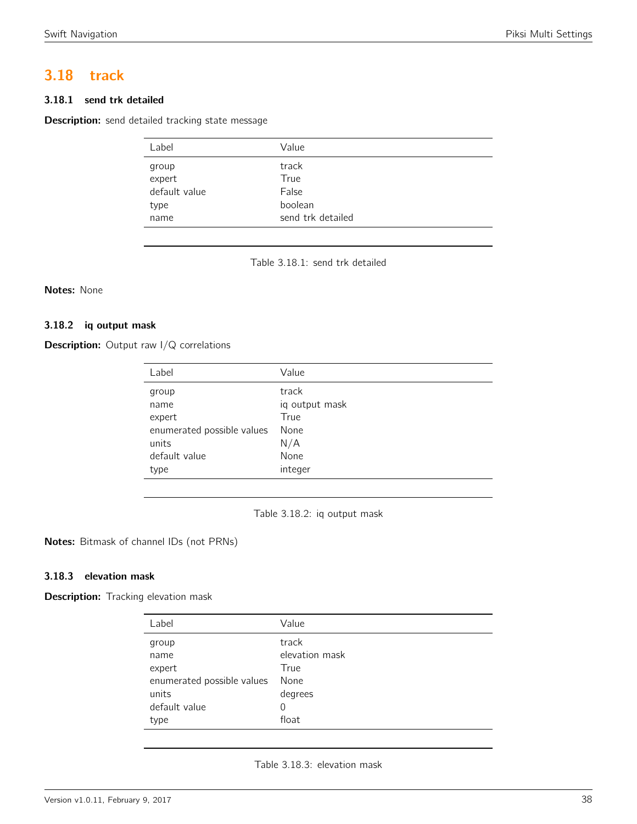#### Swift Navigation **Piksi Multi Settings**

# <span id="page-37-0"></span>3.18 track

#### 3.18.1 send trk detailed

<span id="page-37-1"></span>Description: send detailed tracking state message

| Label         | Value             |
|---------------|-------------------|
| group         | track             |
| expert        | True              |
| default value | False             |
| type          | boolean           |
| name          | send trk detailed |

Table 3.18.1: send trk detailed

#### Notes: None

#### 3.18.2 iq output mask

<span id="page-37-2"></span>**Description:** Output raw I/Q correlations

| Label                      | Value          |
|----------------------------|----------------|
| group                      | track          |
| name                       | iq output mask |
| expert                     | True           |
| enumerated possible values | None           |
| units                      | N/A            |
| default value              | None           |
| type                       | integer        |

Table 3.18.2: iq output mask

Notes: Bitmask of channel IDs (not PRNs)

#### 3.18.3 elevation mask

Description: Tracking elevation mask

| Label                      | Value          |
|----------------------------|----------------|
| group                      | track          |
| name                       | elevation mask |
| expert                     | True           |
| enumerated possible values | None           |
| units                      | degrees        |
| default value              | 0              |
| type                       | float          |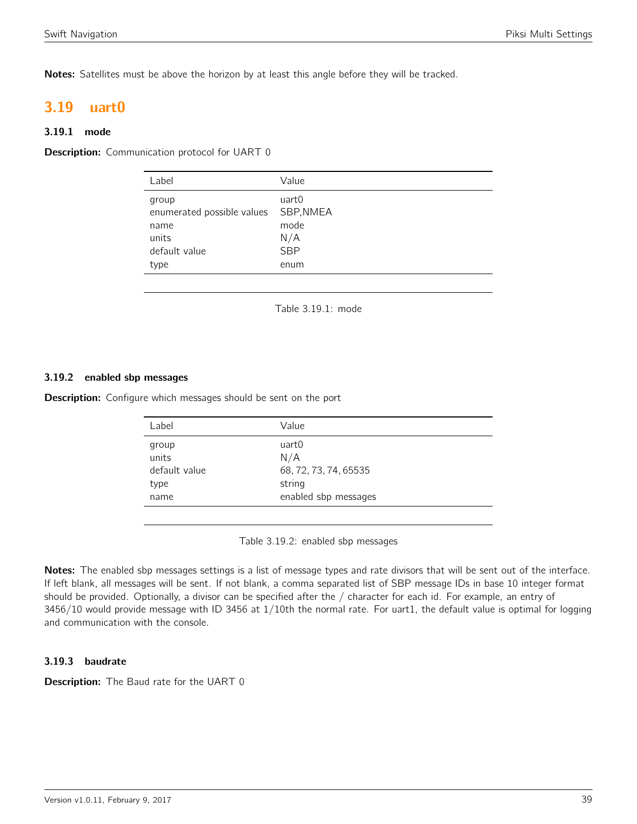Notes: Satellites must be above the horizon by at least this angle before they will be tracked.

# <span id="page-38-0"></span>3.19 uart0

#### 3.19.1 mode

<span id="page-38-1"></span>**Description:** Communication protocol for UART 0

| Label                                                                         | Value                                                   |
|-------------------------------------------------------------------------------|---------------------------------------------------------|
| group<br>enumerated possible values<br>name<br>units<br>default value<br>type | uart0<br>SBP, NMEA<br>mode<br>N/A<br><b>SBP</b><br>enum |
|                                                                               |                                                         |

Table 3.19.1: mode

#### 3.19.2 enabled sbp messages

<span id="page-38-2"></span>**Description:** Configure which messages should be sent on the port

| uart0<br>group<br>units<br>N/A<br>default value<br>68, 72, 73, 74, 65535<br>string<br>type<br>enabled sbp messages<br>name | Label | Value |  |
|----------------------------------------------------------------------------------------------------------------------------|-------|-------|--|
|                                                                                                                            |       |       |  |

Table 3.19.2: enabled sbp messages

Notes: The enabled sbp messages settings is a list of message types and rate divisors that will be sent out of the interface. If left blank, all messages will be sent. If not blank, a comma separated list of SBP message IDs in base 10 integer format should be provided. Optionally, a divisor can be specified after the / character for each id. For example, an entry of 3456/10 would provide message with ID 3456 at 1/10th the normal rate. For uart1, the default value is optimal for logging and communication with the console.

#### 3.19.3 baudrate

**Description:** The Baud rate for the UART 0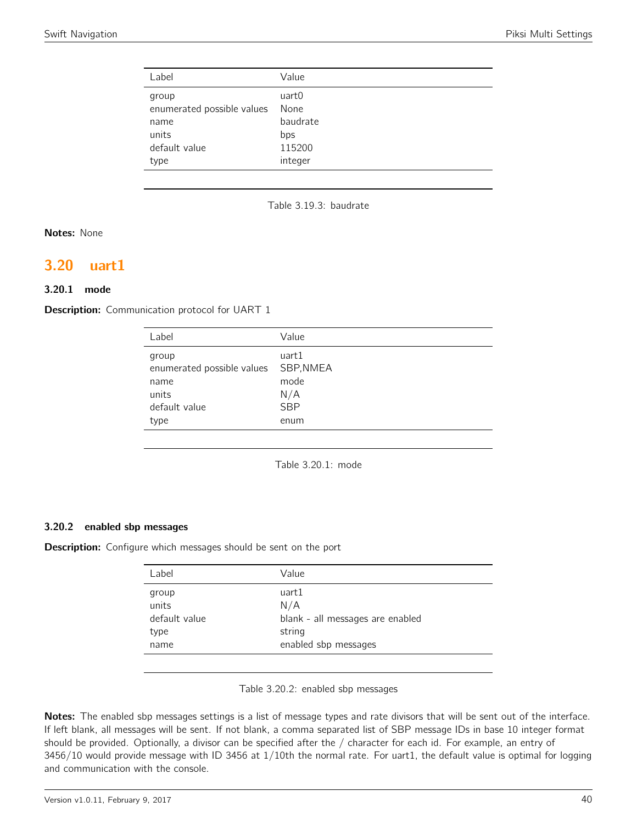| Label                                                                         | Value                                                 |
|-------------------------------------------------------------------------------|-------------------------------------------------------|
| group<br>enumerated possible values<br>name<br>units<br>default value<br>type | uart0<br>None<br>baudrate<br>bps<br>115200<br>integer |
|                                                                               |                                                       |

Table 3.19.3: baudrate

Notes: None

## <span id="page-39-0"></span>3.20 uart1

#### 3.20.1 mode

<span id="page-39-1"></span>**Description:** Communication protocol for UART 1

| Label                                                                         | Value                                                   |
|-------------------------------------------------------------------------------|---------------------------------------------------------|
| group<br>enumerated possible values<br>name<br>units<br>default value<br>type | uart1<br>SBP, NMEA<br>mode<br>N/A<br><b>SBP</b><br>enum |
|                                                                               |                                                         |

Table 3.20.1: mode

#### 3.20.2 enabled sbp messages

<span id="page-39-2"></span>Description: Configure which messages should be sent on the port

| Label                                           | Value                                                                              |
|-------------------------------------------------|------------------------------------------------------------------------------------|
| group<br>units<br>default value<br>type<br>name | uart1<br>N/A<br>blank - all messages are enabled<br>string<br>enabled sbp messages |
|                                                 |                                                                                    |

| Table 3.20.2: enabled sbp messages |  |  |  |
|------------------------------------|--|--|--|
|------------------------------------|--|--|--|

Notes: The enabled sbp messages settings is a list of message types and rate divisors that will be sent out of the interface. If left blank, all messages will be sent. If not blank, a comma separated list of SBP message IDs in base 10 integer format should be provided. Optionally, a divisor can be specified after the / character for each id. For example, an entry of 3456/10 would provide message with ID 3456 at 1/10th the normal rate. For uart1, the default value is optimal for logging and communication with the console.